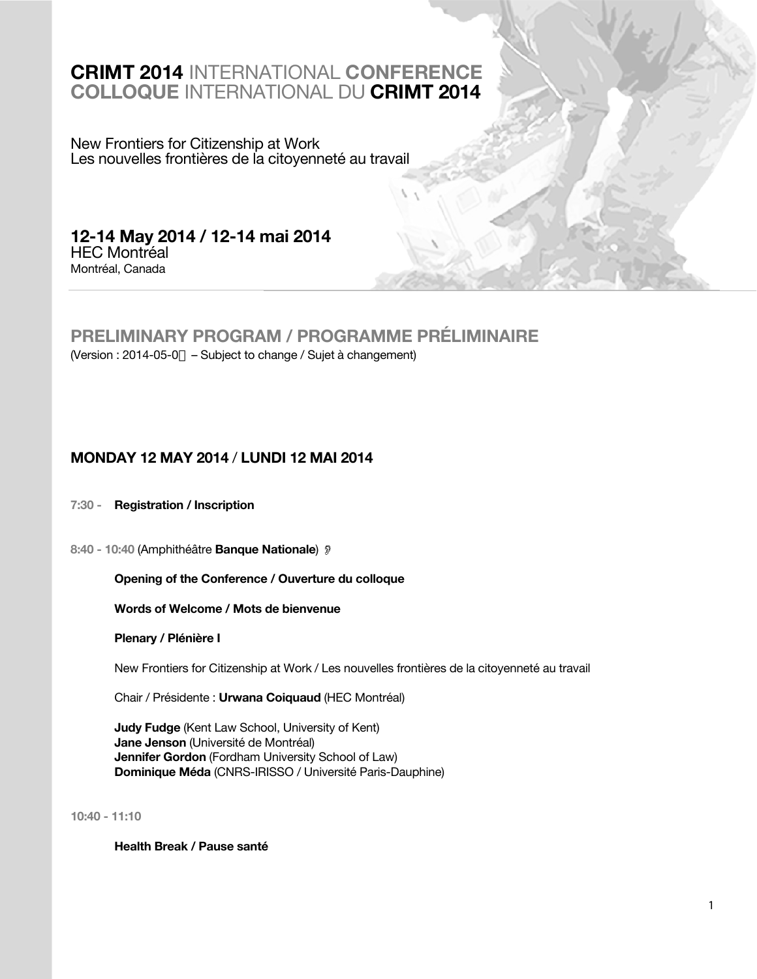## **CRIMT 2014** INTERNATIONAL **CONFERENCE COLLOQUE** INTERNATIONAL DU **CRIMT 2014**

New Frontiers for Citizenship at Work Les nouvelles frontières de la citoyenneté au travail

**12-14 May 2014 / 12-14 mai 2014**  HEC Montréal Montréal, Canada

## **PRELIMINARY PROGRAM / PROGRAMME PRÉLIMINAIRE**

(Version : 2014-05-0 – Subject to change / Sujet à changement)

## **MONDAY 12 MAY 2014** / **LUNDI 12 MAI 2014**

## **7:30 - Registration / Inscription**

**8:40 - 10:40** (Amphithéâtre **Banque Nationale**)

## **Opening of the Conference / Ouverture du colloque**

## **Words of Welcome / Mots de bienvenue**

## **Plenary / Plénière I**

New Frontiers for Citizenship at Work / Les nouvelles frontières de la citoyenneté au travail

Chair / Présidente : **Urwana Coiquaud** (HEC Montréal)

**Judy Fudge** (Kent Law School, University of Kent) **Jane Jenson** (Université de Montréal) **Jennifer Gordon** (Fordham University School of Law) **Dominique Méda** (CNRS-IRISSO / Université Paris-Dauphine)

**10:40 - 11:10**

**Health Break / Pause santé**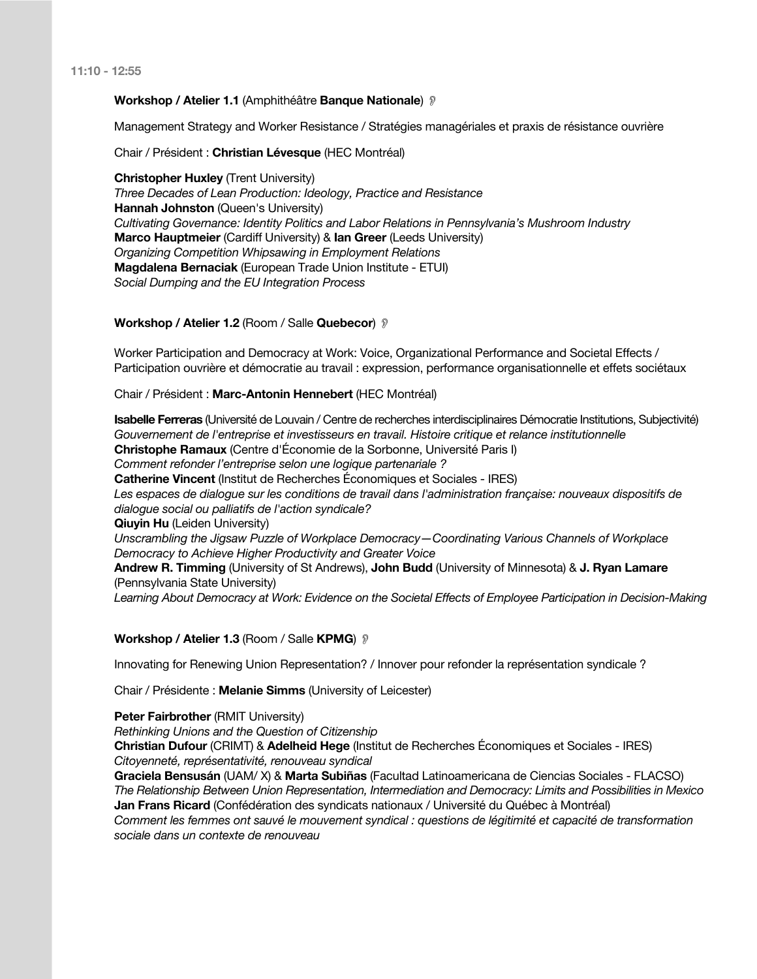#### **Workshop / Atelier 1.1** (Amphithéâtre **Banque Nationale**) !

Management Strategy and Worker Resistance / Stratégies managériales et praxis de résistance ouvrière

Chair / Président : **Christian Lévesque** (HEC Montréal)

**Christopher Huxley** (Trent University) *Three Decades of Lean Production: Ideology, Practice and Resistance* **Hannah Johnston** (Queen's University) *Cultivating Governance: Identity Politics and Labor Relations in Pennsylvania's Mushroom Industry* **Marco Hauptmeier** (Cardiff University) & **Ian Greer** (Leeds University) *Organizing Competition Whipsawing in Employment Relations* **Magdalena Bernaciak** (European Trade Union Institute - ETUI) *Social Dumping and the EU Integration Process*

#### **Workshop / Atelier 1.2** (Room / Salle **Quebecor**) !

Worker Participation and Democracy at Work: Voice, Organizational Performance and Societal Effects / Participation ouvrière et démocratie au travail : expression, performance organisationnelle et effets sociétaux

Chair / Président : **Marc-Antonin Hennebert** (HEC Montréal)

**Isabelle Ferreras** (Université de Louvain / Centre de recherches interdisciplinaires Démocratie Institutions, Subjectivité) *Gouvernement de l'entreprise et investisseurs en travail. Histoire critique et relance institutionnelle* **Christophe Ramaux** (Centre d'Économie de la Sorbonne, Université Paris I) *Comment refonder l'entreprise selon une logique partenariale ?* **Catherine Vincent** (Institut de Recherches Économiques et Sociales - IRES) Les espaces de dialogue sur les conditions de travail dans l'administration française: nouveaux dispositifs de *dialogue social ou palliatifs de l'action syndicale?* **Qiuyin Hu** (Leiden University) *Unscrambling the Jigsaw Puzzle of Workplace Democracy—Coordinating Various Channels of Workplace Democracy to Achieve Higher Productivity and Greater Voice* **Andrew R. Timming** (University of St Andrews), **John Budd** (University of Minnesota) & **J. Ryan Lamare** (Pennsylvania State University)

*Learning About Democracy at Work: Evidence on the Societal Effects of Employee Participation in Decision-Making*

#### **Workshop / Atelier 1.3** (Room / Salle **KPMG**) !

Innovating for Renewing Union Representation? / Innover pour refonder la représentation syndicale ?

Chair / Présidente : **Melanie Simms** (University of Leicester)

#### **Peter Fairbrother** (RMIT University)

*Rethinking Unions and the Question of Citizenship*

**Christian Dufour** (CRIMT) & **Adelheid Hege** (Institut de Recherches Économiques et Sociales - IRES) *Citoyenneté, représentativité, renouveau syndical*

**Graciela Bensusán** (UAM/ X) & **Marta Subiñas** (Facultad Latinoamericana de Ciencias Sociales - FLACSO) *The Relationship Between Union Representation, Intermediation and Democracy: Limits and Possibilities in Mexico* **Jan Frans Ricard** (Confédération des syndicats nationaux / Université du Québec à Montréal) *Comment les femmes ont sauvé le mouvement syndical : questions de légitimité et capacité de transformation sociale dans un contexte de renouveau*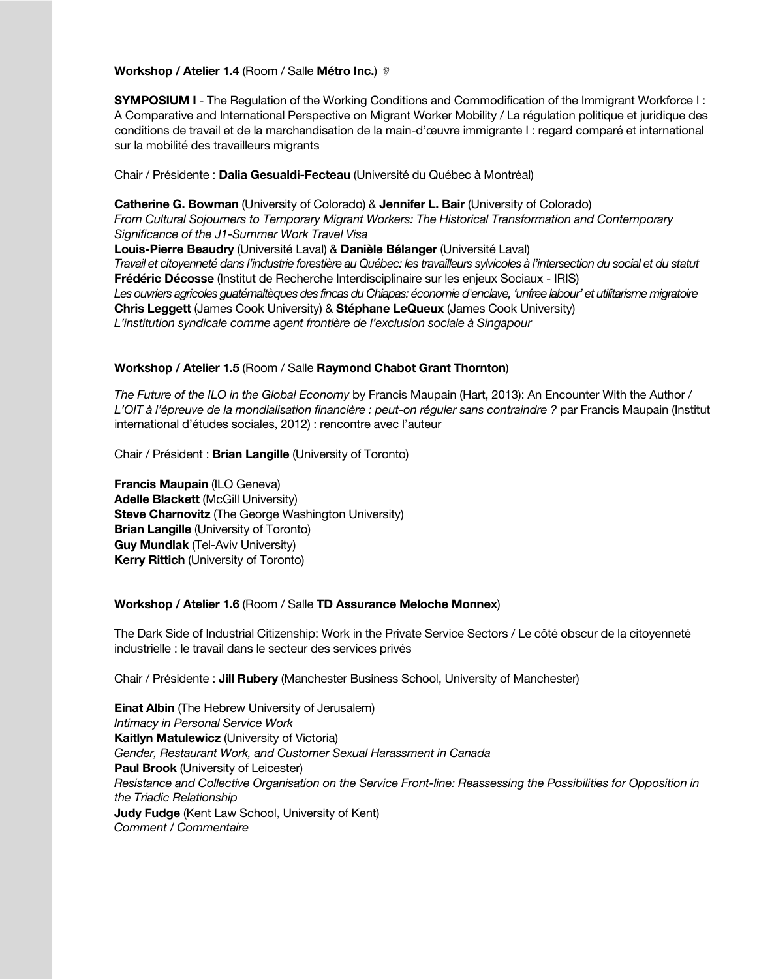**Workshop / Atelier 1.4** (Room / Salle **Métro Inc.**) !

**SYMPOSIUM I** - The Regulation of the Working Conditions and Commodification of the Immigrant Workforce I : A Comparative and International Perspective on Migrant Worker Mobility / La régulation politique et juridique des conditions de travail et de la marchandisation de la main-d'œuvre immigrante I : regard comparé et international sur la mobilité des travailleurs migrants

Chair / Présidente : **Dalia Gesualdi-Fecteau** (Université du Québec à Montréal)

**Catherine G. Bowman** (University of Colorado) & **Jennifer L. Bair** (University of Colorado) *From Cultural Sojourners to Temporary Migrant Workers: The Historical Transformation and Contemporary Significance of the J1-Summer Work Travel Visa* **Louis-Pierre Beaudry** (Université Laval) & **Danièle Bélanger** (Université Laval) *Travail et citoyenneté dans l'industrie forestière au Québec: les travailleurs sylvicoles à l'intersection du social et du statut* **Frédéric Décosse** (Institut de Recherche Interdisciplinaire sur les enjeux Sociaux - IRIS) *Les ouvriers agricoles guatémaltèques des fincas du Chiapas: économie d'enclave, 'unfree labour' et utilitarisme migratoire* **Chris Leggett** (James Cook University) & **Stéphane LeQueux** (James Cook University) *L'institution syndicale comme agent frontière de l'exclusion sociale à Singapour*

#### **Workshop / Atelier 1.5** (Room / Salle **Raymond Chabot Grant Thornton**)

*The Future of the ILO in the Global Economy* by Francis Maupain (Hart, 2013): An Encounter With the Author / *L'OIT à l'épreuve de la mondialisation financière : peut-on réguler sans contraindre ?* par Francis Maupain (Institut international d'études sociales, 2012) : rencontre avec l'auteur

Chair / Président : **Brian Langille** (University of Toronto)

**Francis Maupain** (ILO Geneva) **Adelle Blackett** (McGill University) **Steve Charnovitz** (The George Washington University) **Brian Langille** (University of Toronto) **Guy Mundlak** (Tel-Aviv University) **Kerry Rittich** (University of Toronto)

#### **Workshop / Atelier 1.6** (Room / Salle **TD Assurance Meloche Monnex**)

The Dark Side of Industrial Citizenship: Work in the Private Service Sectors / Le côté obscur de la citoyenneté industrielle : le travail dans le secteur des services privés

Chair / Présidente : **Jill Rubery** (Manchester Business School, University of Manchester)

**Einat Albin** (The Hebrew University of Jerusalem) *Intimacy in Personal Service Work* **Kaitlyn Matulewicz** (University of Victoria) *Gender, Restaurant Work, and Customer Sexual Harassment in Canada* **Paul Brook** (University of Leicester) *Resistance and Collective Organisation on the Service Front-line: Reassessing the Possibilities for Opposition in the Triadic Relationship* **Judy Fudge** (Kent Law School, University of Kent) *Comment / Commentaire*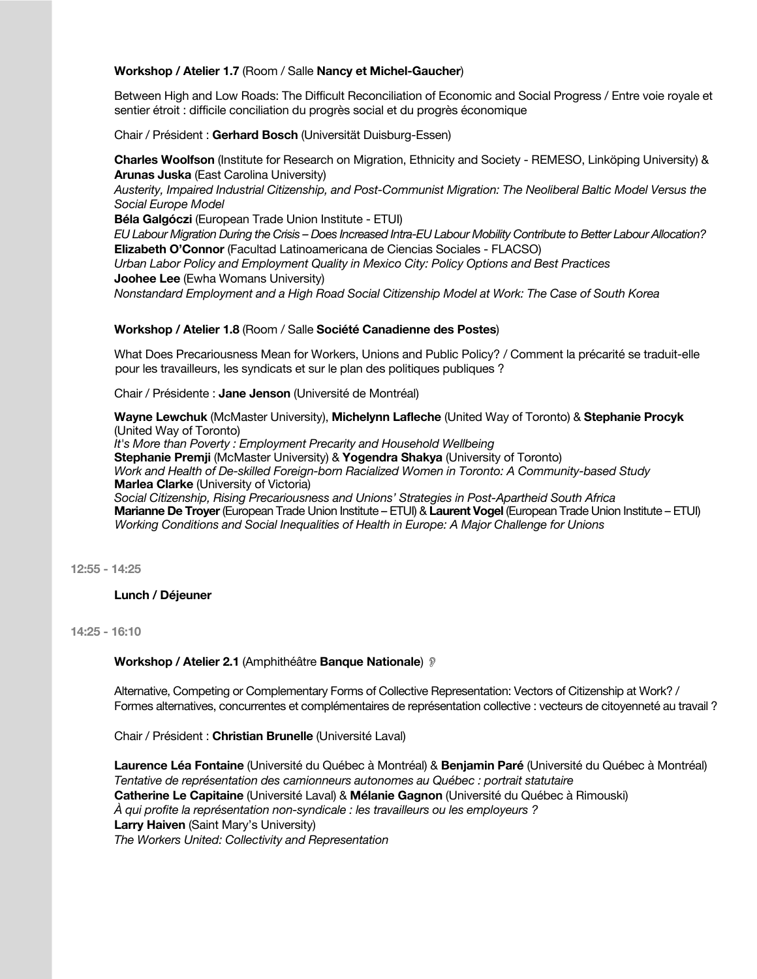## **Workshop / Atelier 1.7** (Room / Salle **Nancy et Michel-Gaucher**)

Between High and Low Roads: The Difficult Reconciliation of Economic and Social Progress / Entre voie royale et sentier étroit : difficile conciliation du progrès social et du progrès économique

Chair / Président : **Gerhard Bosch** (Universität Duisburg-Essen)

**Charles Woolfson** (Institute for Research on Migration, Ethnicity and Society - REMESO, Linköping University) & **Arunas Juska** (East Carolina University)

*Austerity, Impaired Industrial Citizenship, and Post-Communist Migration: The Neoliberal Baltic Model Versus the Social Europe Model*

**Béla Galgóczi** (European Trade Union Institute - ETUI)

*EU Labour Migration During the Crisis – Does Increased Intra-EU Labour Mobility Contribute to Better Labour Allocation?* **Elizabeth O'Connor** (Facultad Latinoamericana de Ciencias Sociales - FLACSO)

*Urban Labor Policy and Employment Quality in Mexico City: Policy Options and Best Practices* **Joohee Lee** (Ewha Womans University)

*Nonstandard Employment and a High Road Social Citizenship Model at Work: The Case of South Korea*

#### **Workshop / Atelier 1.8** (Room / Salle **Société Canadienne des Postes**)

What Does Precariousness Mean for Workers, Unions and Public Policy? / Comment la précarité se traduit-elle pour les travailleurs, les syndicats et sur le plan des politiques publiques ?

Chair / Présidente : **Jane Jenson** (Université de Montréal)

**Wayne Lewchuk** (McMaster University), **Michelynn Lafleche** (United Way of Toronto) & **Stephanie Procyk** (United Way of Toronto) *It's More than Poverty : Employment Precarity and Household Wellbeing* **Stephanie Premji** (McMaster University) & **Yogendra Shakya** (University of Toronto) *Work and Health of De-skilled Foreign-born Racialized Women in Toronto: A Community-based Study* **Marlea Clarke** (University of Victoria) *Social Citizenship, Rising Precariousness and Unions' Strategies in Post-Apartheid South Africa* **Marianne De Troyer** (European Trade Union Institute – ETUI) & **Laurent Vogel** (European Trade Union Institute – ETUI) *Working Conditions and Social Inequalities of Health in Europe: A Major Challenge for Unions* 

**12:55 - 14:25**

**Lunch / Déjeuner**

**14:25 - 16:10**

#### **Workshop / Atelier 2.1** (Amphithéâtre **Banque Nationale**) !

Alternative, Competing or Complementary Forms of Collective Representation: Vectors of Citizenship at Work? / Formes alternatives, concurrentes et complémentaires de représentation collective : vecteurs de citoyenneté au travail ?

Chair / Président : **Christian Brunelle** (Université Laval)

**Laurence Léa Fontaine** (Université du Québec à Montréal) & **Benjamin Paré** (Université du Québec à Montréal) *Tentative de représentation des camionneurs autonomes au Québec : portrait statutaire* **Catherine Le Capitaine** (Université Laval) & **Mélanie Gagnon** (Université du Québec à Rimouski) *À qui profite la représentation non-syndicale : les travailleurs ou les employeurs ?* **Larry Haiven** (Saint Mary's University) *The Workers United: Collectivity and Representation*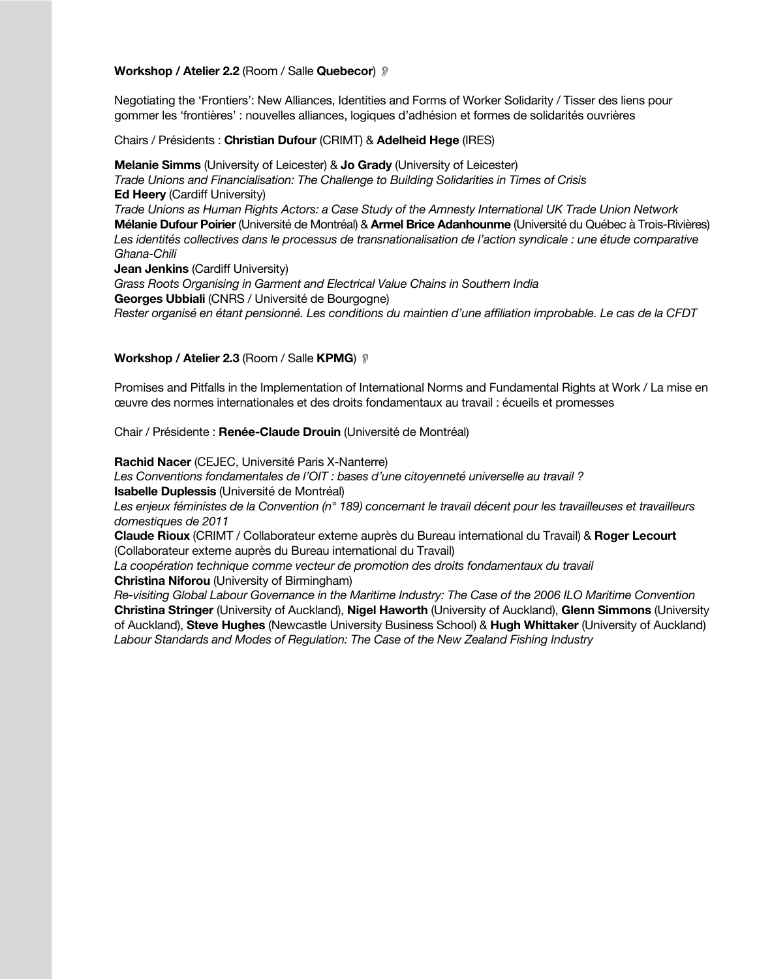#### **Workshop / Atelier 2.2** (Room / Salle **Quebecor**) !

Negotiating the 'Frontiers': New Alliances, Identities and Forms of Worker Solidarity / Tisser des liens pour gommer les 'frontières' : nouvelles alliances, logiques d'adhésion et formes de solidarités ouvrières

Chairs / Présidents : **Christian Dufour** (CRIMT) & **Adelheid Hege** (IRES)

**Melanie Simms** (University of Leicester) & **Jo Grady** (University of Leicester) *Trade Unions and Financialisation: The Challenge to Building Solidarities in Times of Crisis* **Ed Heery** (Cardiff University) *Trade Unions as Human Rights Actors: a Case Study of the Amnesty International UK Trade Union Network* **Mélanie Dufour Poirier** (Université de Montréal) & **Armel Brice Adanhounme** (Université du Québec à Trois-Rivières) Les identités collectives dans le processus de transnationalisation de l'action syndicale : une étude comparative *Ghana-Chili* **Jean Jenkins** (Cardiff University) *Grass Roots Organising in Garment and Electrical Value Chains in Southern India* **Georges Ubbiali** (CNRS / Université de Bourgogne)

*Rester organisé en étant pensionné. Les conditions du maintien d'une affiliation improbable. Le cas de la CFDT*

#### **Workshop / Atelier 2.3 (Room / Salle KPMG)** ?

Promises and Pitfalls in the Implementation of International Norms and Fundamental Rights at Work / La mise en œuvre des normes internationales et des droits fondamentaux au travail : écueils et promesses

Chair / Présidente : **Renée-Claude Drouin** (Université de Montréal)

**Rachid Nacer** (CEJEC, Université Paris X-Nanterre)

*Les Conventions fondamentales de l'OIT : bases d'une citoyenneté universelle au travail ?* **Isabelle Duplessis** (Université de Montréal)

*Les enjeux féministes de la Convention (n° 189) concernant le travail décent pour les travailleuses et travailleurs domestiques de 2011*

**Claude Rioux** (CRIMT / Collaborateur externe auprès du Bureau international du Travail) & **Roger Lecourt** (Collaborateur externe auprès du Bureau international du Travail)

*La coopération technique comme vecteur de promotion des droits fondamentaux du travail*

**Christina Niforou** (University of Birmingham)

*Re-visiting Global Labour Governance in the Maritime Industry: The Case of the 2006 ILO Maritime Convention* **Christina Stringer** (University of Auckland), **Nigel Haworth** (University of Auckland), **Glenn Simmons** (University of Auckland), **Steve Hughes** (Newcastle University Business School) & **Hugh Whittaker** (University of Auckland) *Labour Standards and Modes of Regulation: The Case of the New Zealand Fishing Industry*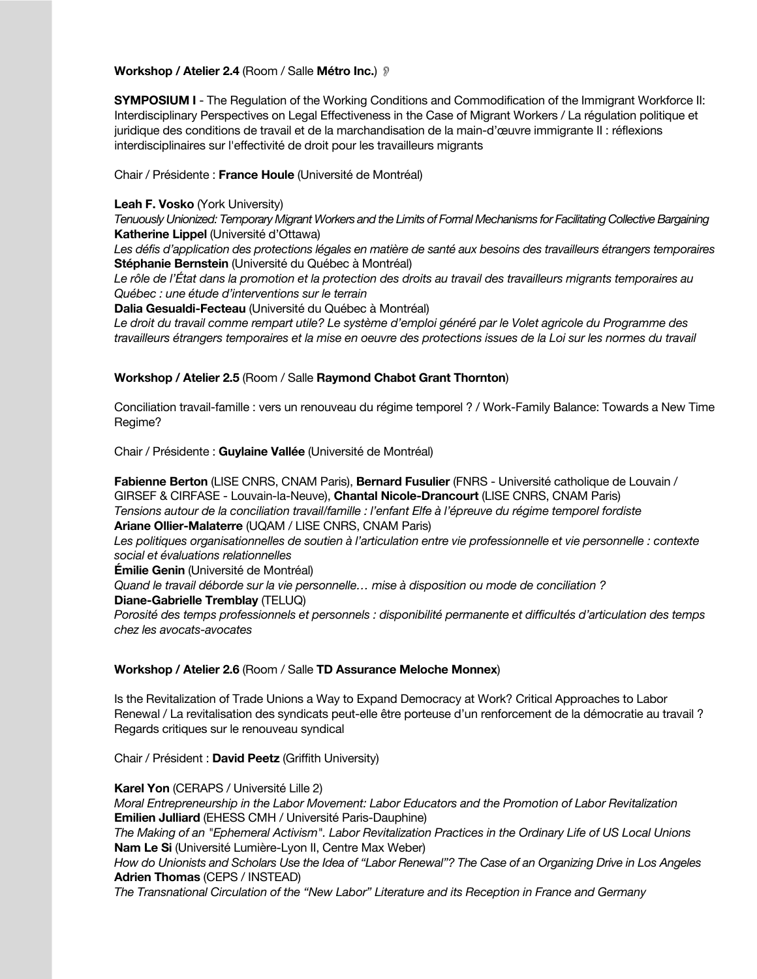#### **Workshop / Atelier 2.4** (Room / Salle **Métro Inc.**) !

**SYMPOSIUM I** - The Regulation of the Working Conditions and Commodification of the Immigrant Workforce II: Interdisciplinary Perspectives on Legal Effectiveness in the Case of Migrant Workers / La régulation politique et juridique des conditions de travail et de la marchandisation de la main-d'œuvre immigrante II : réflexions interdisciplinaires sur l'effectivité de droit pour les travailleurs migrants

Chair / Présidente : **France Houle** (Université de Montréal)

#### **Leah F. Vosko** (York University)

*Tenuously Unionized: Temporary Migrant Workers and the Limits of Formal Mechanisms for Facilitating Collective Bargaining*  **Katherine Lippel** (Université d'Ottawa)

*Les défis d'application des protections légales en matière de santé aux besoins des travailleurs étrangers temporaires* **Stéphanie Bernstein** (Université du Québec à Montréal)

*Le rôle de l'État dans la promotion et la protection des droits au travail des travailleurs migrants temporaires au Québec : une étude d'interventions sur le terrain*

**Dalia Gesualdi-Fecteau** (Université du Québec à Montréal)

*Le droit du travail comme rempart utile? Le système d'emploi généré par le Volet agricole du Programme des travailleurs étrangers temporaires et la mise en oeuvre des protections issues de la Loi sur les normes du travail*

#### **Workshop / Atelier 2.5** (Room / Salle **Raymond Chabot Grant Thornton**)

Conciliation travail-famille : vers un renouveau du régime temporel ? / Work-Family Balance: Towards a New Time Regime?

Chair / Présidente : **Guylaine Vallée** (Université de Montréal)

**Fabienne Berton** (LISE CNRS, CNAM Paris), **Bernard Fusulier** (FNRS - Université catholique de Louvain / GIRSEF & CIRFASE - Louvain-la-Neuve), **Chantal Nicole-Drancourt** (LISE CNRS, CNAM Paris) *Tensions autour de la conciliation travail/famille : l'enfant Elfe à l'épreuve du régime temporel fordiste* **Ariane Ollier-Malaterre** (UQAM / LISE CNRS, CNAM Paris)

Les politiques organisationnelles de soutien à l'articulation entre vie professionnelle et vie personnelle : contexte *social et évaluations relationnelles*

**Émilie Genin** (Université de Montréal)

*Quand le travail déborde sur la vie personnelle… mise à disposition ou mode de conciliation ?*

**Diane-Gabrielle Tremblay** (TELUQ)

*Porosité des temps professionnels et personnels : disponibilité permanente et difficultés d'articulation des temps chez les avocats-avocates*

## **Workshop / Atelier 2.6** (Room / Salle **TD Assurance Meloche Monnex**)

Is the Revitalization of Trade Unions a Way to Expand Democracy at Work? Critical Approaches to Labor Renewal / La revitalisation des syndicats peut-elle être porteuse d'un renforcement de la démocratie au travail ? Regards critiques sur le renouveau syndical

Chair / Président : **David Peetz** (Griffith University)

**Karel Yon** (CERAPS / Université Lille 2) *Moral Entrepreneurship in the Labor Movement: Labor Educators and the Promotion of Labor Revitalization* **Emilien Julliard** (EHESS CMH / Université Paris-Dauphine) *The Making of an "Ephemeral Activism". Labor Revitalization Practices in the Ordinary Life of US Local Unions* **Nam Le Si** (Université Lumière-Lyon II, Centre Max Weber) *How do Unionists and Scholars Use the Idea of "Labor Renewal"? The Case of an Organizing Drive in Los Angeles* **Adrien Thomas** (CEPS / INSTEAD) *The Transnational Circulation of the "New Labor" Literature and its Reception in France and Germany*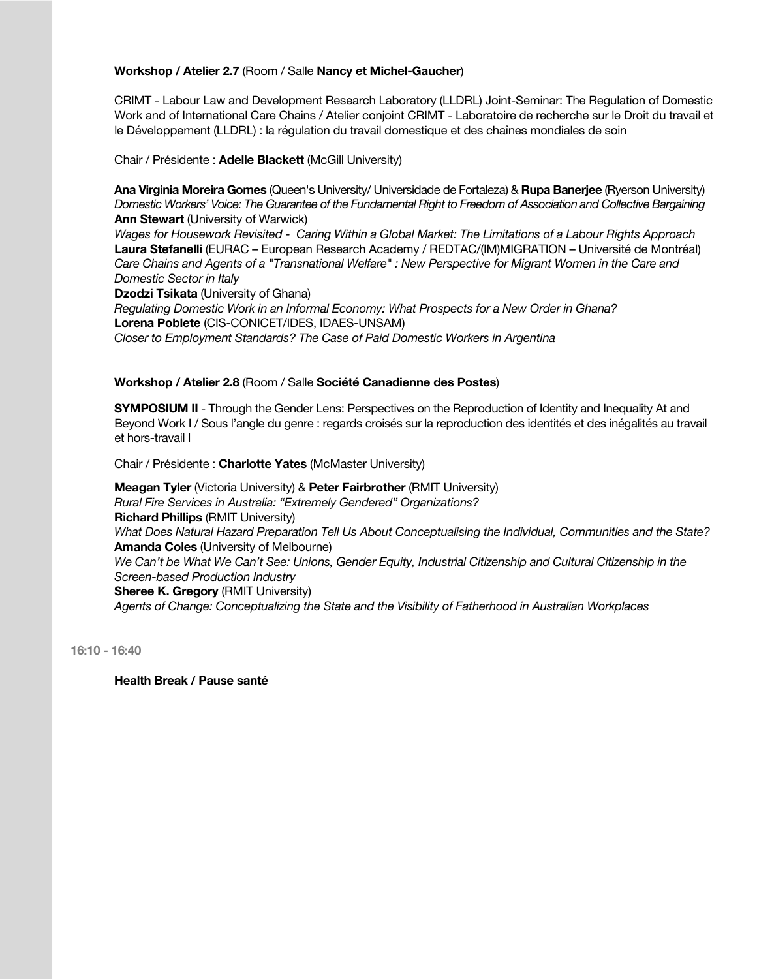## **Workshop / Atelier 2.7** (Room / Salle **Nancy et Michel-Gaucher**)

CRIMT - Labour Law and Development Research Laboratory (LLDRL) Joint-Seminar: The Regulation of Domestic Work and of International Care Chains / Atelier conjoint CRIMT - Laboratoire de recherche sur le Droit du travail et le Développement (LLDRL) : la régulation du travail domestique et des chaînes mondiales de soin

Chair / Présidente : **Adelle Blackett** (McGill University)

**Ana Virginia Moreira Gomes** (Queen's University/ Universidade de Fortaleza) & **Rupa Banerjee** (Ryerson University) *Domestic Workers' Voice: The Guarantee of the Fundamental Right to Freedom of Association and Collective Bargaining* **Ann Stewart** (University of Warwick)

*Wages for Housework Revisited - Caring Within a Global Market: The Limitations of a Labour Rights Approach* **Laura Stefanelli** (EURAC – European Research Academy / REDTAC/(IM)MIGRATION – Université de Montréal) *Care Chains and Agents of a "Transnational Welfare" : New Perspective for Migrant Women in the Care and Domestic Sector in Italy*

**Dzodzi Tsikata** (University of Ghana)

*Regulating Domestic Work in an Informal Economy: What Prospects for a New Order in Ghana?* **Lorena Poblete** (CIS-CONICET/IDES, IDAES-UNSAM) *Closer to Employment Standards? The Case of Paid Domestic Workers in Argentina*

#### **Workshop / Atelier 2.8** (Room / Salle **Société Canadienne des Postes**)

**SYMPOSIUM II** - Through the Gender Lens: Perspectives on the Reproduction of Identity and Inequality At and Beyond Work I / Sous l'angle du genre : regards croisés sur la reproduction des identités et des inégalités au travail et hors-travail I

Chair / Présidente : **Charlotte Yates** (McMaster University)

**Meagan Tyler** (Victoria University) & **Peter Fairbrother** (RMIT University) *Rural Fire Services in Australia: "Extremely Gendered" Organizations?* **Richard Phillips** (RMIT University) *What Does Natural Hazard Preparation Tell Us About Conceptualising the Individual, Communities and the State?* **Amanda Coles** (University of Melbourne) *We Can't be What We Can't See: Unions, Gender Equity, Industrial Citizenship and Cultural Citizenship in the Screen-based Production Industry*

## **Sheree K. Gregory** (RMIT University)

*Agents of Change: Conceptualizing the State and the Visibility of Fatherhood in Australian Workplaces*

**16:10 - 16:40**

**Health Break / Pause santé**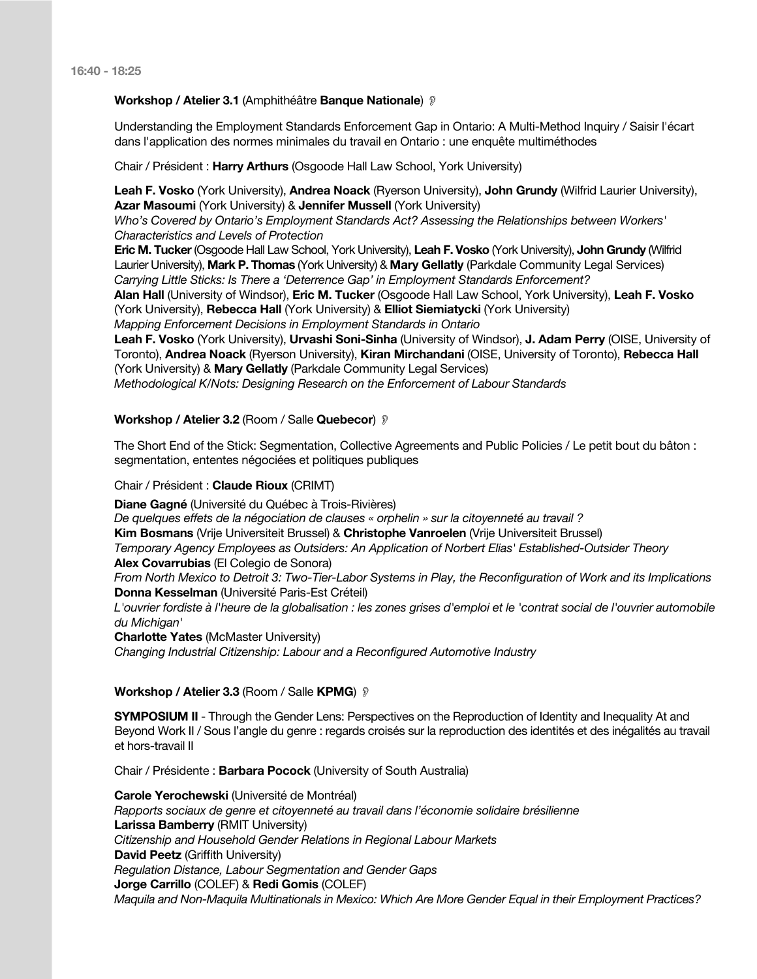#### **Workshop / Atelier 3.1** (Amphithéâtre **Banque Nationale**) !

Understanding the Employment Standards Enforcement Gap in Ontario: A Multi-Method Inquiry / Saisir l'écart dans l'application des normes minimales du travail en Ontario : une enquête multiméthodes

Chair / Président : **Harry Arthurs** (Osgoode Hall Law School, York University)

**Leah F. Vosko** (York University), **Andrea Noack** (Ryerson University), **John Grundy** (Wilfrid Laurier University), **Azar Masoumi** (York University) & **Jennifer Mussell** (York University) *Who's Covered by Ontario's Employment Standards Act? Assessing the Relationships between Workers' Characteristics and Levels of Protection*

**Eric M. Tucker**(Osgoode Hall Law School, York University), **Leah F. Vosko** (York University), **John Grundy** (Wilfrid Laurier University), **Mark P. Thomas** (York University) & **Mary Gellatly** (Parkdale Community Legal Services) *Carrying Little Sticks: Is There a 'Deterrence Gap' in Employment Standards Enforcement?*

**Alan Hall** (University of Windsor), **Eric M. Tucker** (Osgoode Hall Law School, York University), **Leah F. Vosko** (York University), **Rebecca Hall** (York University) & **Elliot Siemiatycki** (York University)

*Mapping Enforcement Decisions in Employment Standards in Ontario*

**Leah F. Vosko** (York University), **Urvashi Soni-Sinha** (University of Windsor), **J. Adam Perry** (OISE, University of Toronto), **Andrea Noack** (Ryerson University), **Kiran Mirchandani** (OISE, University of Toronto), **Rebecca Hall** (York University) & **Mary Gellatly** (Parkdale Community Legal Services)

*Methodological K/Nots: Designing Research on the Enforcement of Labour Standards*

#### **Workshop / Atelier 3.2** (Room / Salle **Quebecor**) !

The Short End of the Stick: Segmentation, Collective Agreements and Public Policies / Le petit bout du bâton : segmentation, ententes négociées et politiques publiques

#### Chair / Président : **Claude Rioux** (CRIMT)

**Diane Gagné** (Université du Québec à Trois-Rivières)

*De quelques effets de la négociation de clauses « orphelin » sur la citoyenneté au travail ?*

**Kim Bosmans** (Vrije Universiteit Brussel) & **Christophe Vanroelen** (Vrije Universiteit Brussel)

*Temporary Agency Employees as Outsiders: An Application of Norbert Elias' Established-Outsider Theory*

**Alex Covarrubias** (El Colegio de Sonora)

*From North Mexico to Detroit 3: Two-Tier-Labor Systems in Play, the Reconfiguration of Work and its Implications* **Donna Kesselman** (Université Paris-Est Créteil)

*L'ouvrier fordiste à l'heure de la globalisation : les zones grises d'emploi et le 'contrat social de l'ouvrier automobile du Michigan'*

**Charlotte Yates** (McMaster University)

*Changing Industrial Citizenship: Labour and a Reconfigured Automotive Industry*

#### **Workshop / Atelier 3.3** (Room / Salle **KPMG**) !

**SYMPOSIUM II** - Through the Gender Lens: Perspectives on the Reproduction of Identity and Inequality At and Beyond Work II / Sous l'angle du genre : regards croisés sur la reproduction des identités et des inégalités au travail et hors-travail II

Chair / Présidente : **Barbara Pocock** (University of South Australia)

**Carole Yerochewski** (Université de Montréal) *Rapports sociaux de genre et citoyenneté au travail dans l'économie solidaire brésilienne* **Larissa Bamberry** (RMIT University) *Citizenship and Household Gender Relations in Regional Labour Markets* **David Peetz** (Griffith University) *Regulation Distance, Labour Segmentation and Gender Gaps* **Jorge Carrillo** (COLEF) & **Redi Gomis** (COLEF) *Maquila and Non-Maquila Multinationals in Mexico: Which Are More Gender Equal in their Employment Practices?*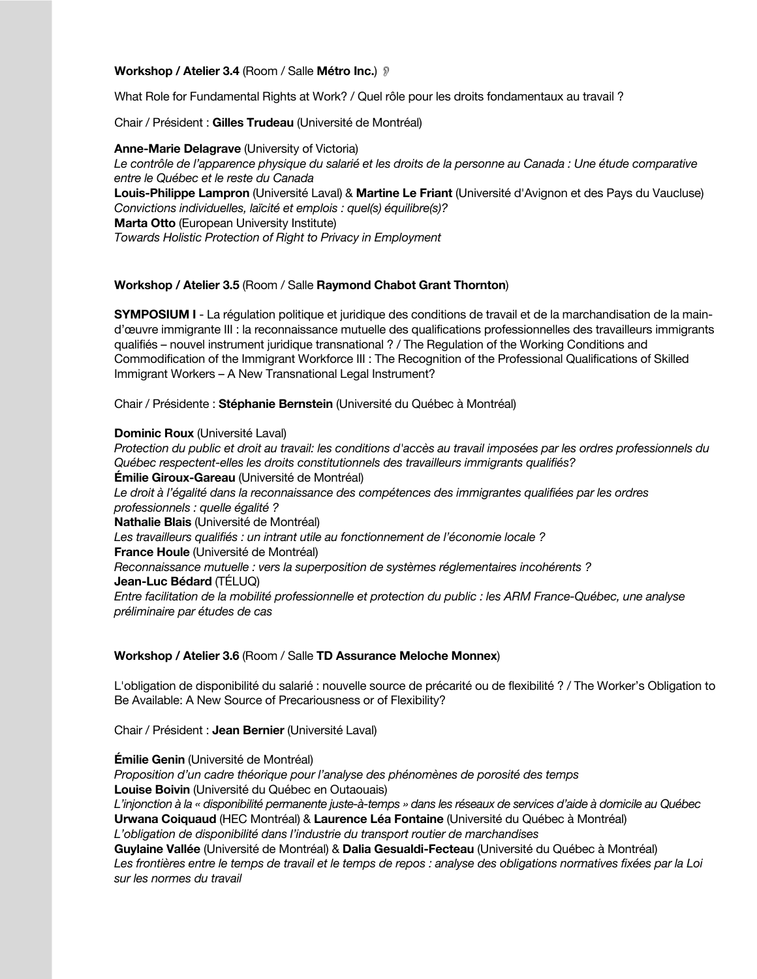**Workshop / Atelier 3.4** (Room / Salle **Métro Inc.**) !

What Role for Fundamental Rights at Work? / Quel rôle pour les droits fondamentaux au travail ?

Chair / Président : **Gilles Trudeau** (Université de Montréal)

**Anne-Marie Delagrave** (University of Victoria) *Le contrôle de l'apparence physique du salarié et les droits de la personne au Canada : Une étude comparative entre le Québec et le reste du Canada*

**Louis-Philippe Lampron** (Université Laval) & **Martine Le Friant** (Université d'Avignon et des Pays du Vaucluse) *Convictions individuelles, laïcité et emplois : quel(s) équilibre(s)?* **Marta Otto** (European University Institute)

*Towards Holistic Protection of Right to Privacy in Employment*

## **Workshop / Atelier 3.5** (Room / Salle **Raymond Chabot Grant Thornton**)

**SYMPOSIUM I** - La régulation politique et juridique des conditions de travail et de la marchandisation de la maind'œuvre immigrante III : la reconnaissance mutuelle des qualifications professionnelles des travailleurs immigrants qualifiés – nouvel instrument juridique transnational ? / The Regulation of the Working Conditions and Commodification of the Immigrant Workforce III : The Recognition of the Professional Qualifications of Skilled Immigrant Workers – A New Transnational Legal Instrument?

Chair / Présidente : **Stéphanie Bernstein** (Université du Québec à Montréal)

**Dominic Roux** (Université Laval)

*Protection du public et droit au travail: les conditions d'accès au travail imposées par les ordres professionnels du Québec respectent-elles les droits constitutionnels des travailleurs immigrants qualifiés?* **Émilie Giroux-Gareau** (Université de Montréal) Le droit à l'égalité dans la reconnaissance des compétences des immigrantes qualifiées par les ordres *professionnels : quelle égalité ?* **Nathalie Blais** (Université de Montréal) *Les travailleurs qualifiés : un intrant utile au fonctionnement de l'économie locale ?* **France Houle** (Université de Montréal) *Reconnaissance mutuelle : vers la superposition de systèmes réglementaires incohérents ?* **Jean-Luc Bédard** (TÉLUQ) *Entre facilitation de la mobilité professionnelle et protection du public : les ARM France-Québec, une analyse préliminaire par études de cas*

## **Workshop / Atelier 3.6** (Room / Salle **TD Assurance Meloche Monnex**)

L'obligation de disponibilité du salarié : nouvelle source de précarité ou de flexibilité ? / The Worker's Obligation to Be Available: A New Source of Precariousness or of Flexibility?

Chair / Président : **Jean Bernier** (Université Laval)

**Émilie Genin** (Université de Montréal)

*Proposition d'un cadre théorique pour l'analyse des phénomènes de porosité des temps* **Louise Boivin** (Université du Québec en Outaouais)

*L'injonction à la « disponibilité permanente juste-à-temps » dans les réseaux de services d'aide à domicile au Québec* **Urwana Coiquaud** (HEC Montréal) & **Laurence Léa Fontaine** (Université du Québec à Montréal) *L'obligation de disponibilité dans l'industrie du transport routier de marchandises*

**Guylaine Vallée** (Université de Montréal) & **Dalia Gesualdi-Fecteau** (Université du Québec à Montréal) *Les frontières entre le temps de travail et le temps de repos : analyse des obligations normatives fixées par la Loi* 

*sur les normes du travail*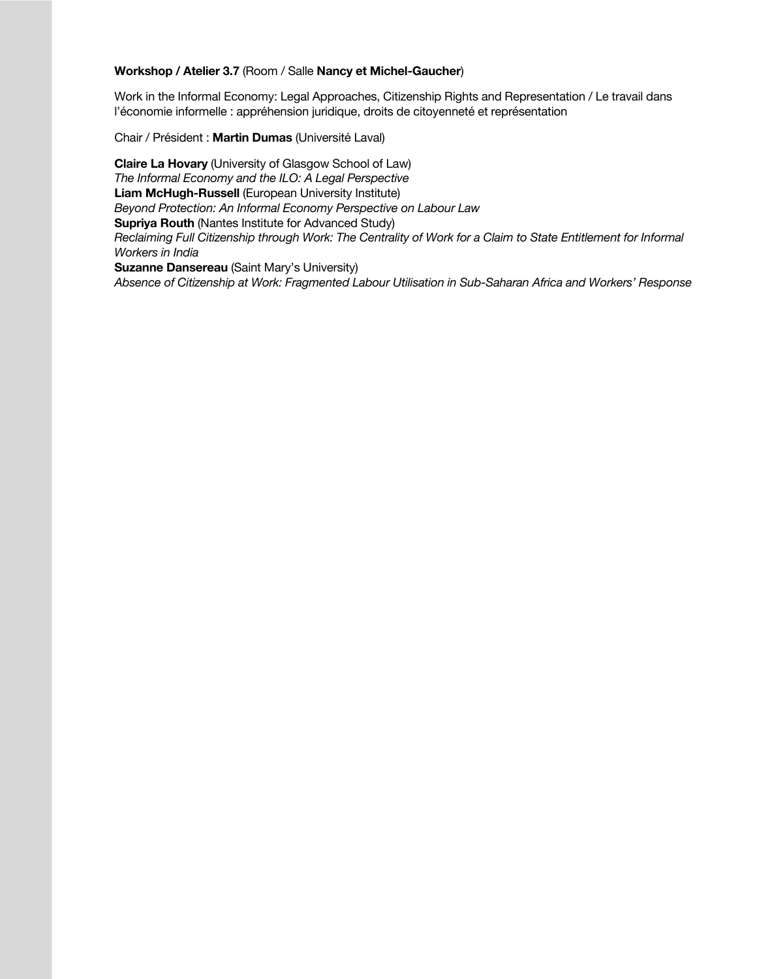## **Workshop / Atelier 3.7** (Room / Salle **Nancy et Michel-Gaucher**)

Work in the Informal Economy: Legal Approaches, Citizenship Rights and Representation / Le travail dans l'économie informelle : appréhension juridique, droits de citoyenneté et représentation

Chair / Président : **Martin Dumas** (Université Laval)

**Claire La Hovary** (University of Glasgow School of Law) *The Informal Economy and the ILO: A Legal Perspective* **Liam McHugh-Russell** (European University Institute) *Beyond Protection: An Informal Economy Perspective on Labour Law* **Supriya Routh** (Nantes Institute for Advanced Study) *Reclaiming Full Citizenship through Work: The Centrality of Work for a Claim to State Entitlement for Informal Workers in India* **Suzanne Dansereau** (Saint Mary's University)

*Absence of Citizenship at Work: Fragmented Labour Utilisation in Sub-Saharan Africa and Workers' Response*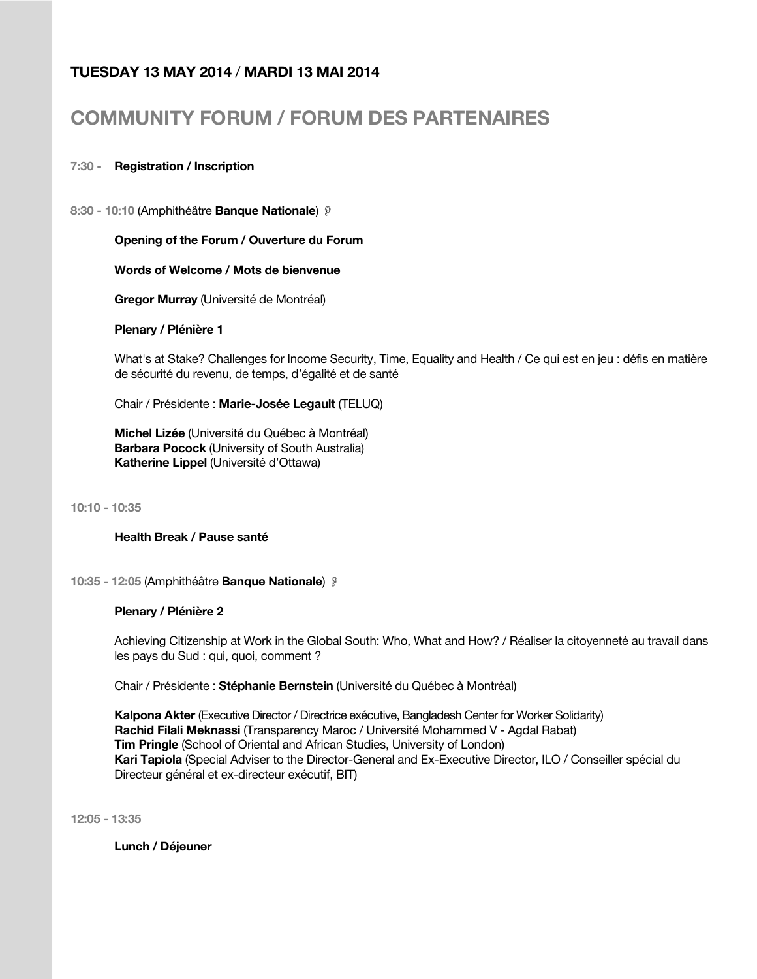## **TUESDAY 13 MAY 2014** / **MARDI 13 MAI 2014**

# **COMMUNITY FORUM / FORUM DES PARTENAIRES**

## **7:30 - Registration / Inscription**

**8:30 - 10:10** (Amphithéâtre **Banque Nationale**) !

## **Opening of the Forum / Ouverture du Forum**

## **Words of Welcome / Mots de bienvenue**

**Gregor Murray** (Université de Montréal)

**Plenary / Plénière 1**

What's at Stake? Challenges for Income Security, Time, Equality and Health / Ce qui est en jeu : défis en matière de sécurité du revenu, de temps, d'égalité et de santé

Chair / Présidente : **Marie-Josée Legault** (TELUQ)

**Michel Lizée** (Université du Québec à Montréal) **Barbara Pocock** (University of South Australia) **Katherine Lippel** (Université d'Ottawa)

**10:10 - 10:35**

**Health Break / Pause santé**

**10:35 - 12:05** (Amphithéâtre **Banque Nationale**) !

## **Plenary / Plénière 2**

Achieving Citizenship at Work in the Global South: Who, What and How? / Réaliser la citoyenneté au travail dans les pays du Sud : qui, quoi, comment ?

Chair / Présidente : **Stéphanie Bernstein** (Université du Québec à Montréal)

**Kalpona Akter** (Executive Director / Directrice exécutive, Bangladesh Center for Worker Solidarity) **Rachid Filali Meknassi** (Transparency Maroc / Université Mohammed V - Agdal Rabat) **Tim Pringle** (School of Oriental and African Studies, University of London) **Kari Tapiola** (Special Adviser to the Director-General and Ex-Executive Director, ILO / Conseiller spécial du Directeur général et ex-directeur exécutif, BIT)

**12:05 - 13:35**

**Lunch / Déjeuner**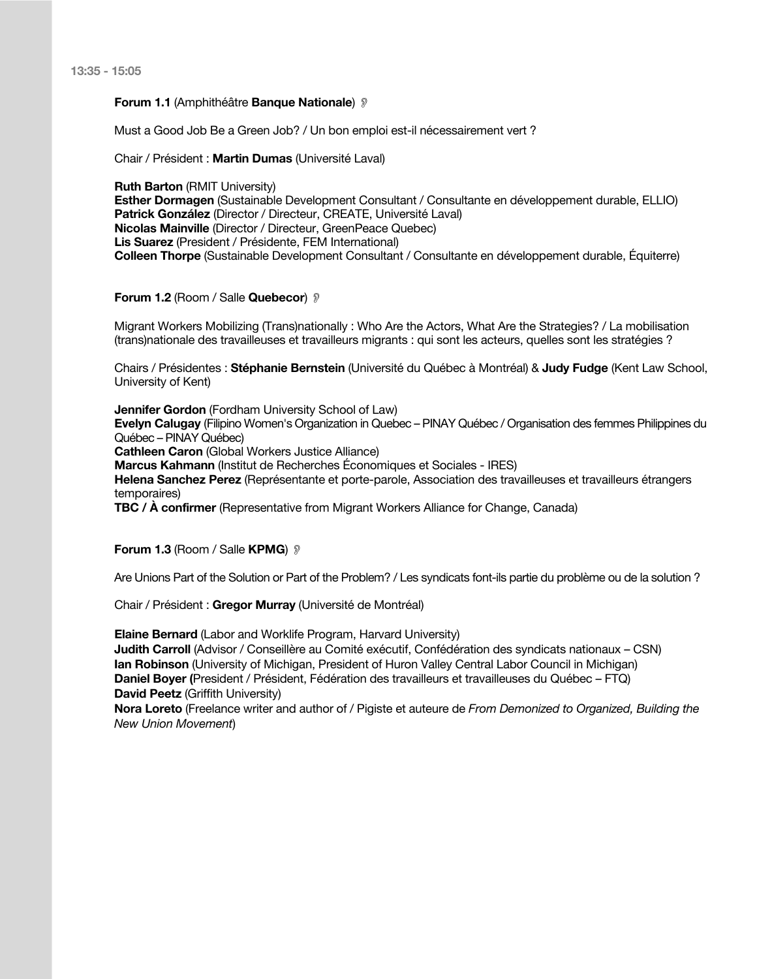**13:35 - 15:05**

#### **Forum 1.1** (Amphithéâtre **Banque Nationale**) !

Must a Good Job Be a Green Job? / Un bon emploi est-il nécessairement vert ?

Chair / Président : **Martin Dumas** (Université Laval)

**Ruth Barton (RMIT University) Esther Dormagen** (Sustainable Development Consultant / Consultante en développement durable, ELLIO) **Patrick González** (Director / Directeur, CREATE, Université Laval) **Nicolas Mainville** (Director / Directeur, GreenPeace Quebec) **Lis Suarez** (President / Présidente, FEM International) **Colleen Thorpe** (Sustainable Development Consultant / Consultante en développement durable, Équiterre)

#### **Forum 1.2** (Room / Salle **Quebecor**) !

Migrant Workers Mobilizing (Trans)nationally : Who Are the Actors, What Are the Strategies? / La mobilisation (trans)nationale des travailleuses et travailleurs migrants : qui sont les acteurs, quelles sont les stratégies ?

Chairs / Présidentes : **Stéphanie Bernstein** (Université du Québec à Montréal) & **Judy Fudge** (Kent Law School, University of Kent)

**Jennifer Gordon** (Fordham University School of Law)

**Evelyn Calugay** (Filipino Women's Organization in Quebec – PINAY Québec / Organisation des femmes Philippines du Québec – PINAY Québec)

**Cathleen Caron** (Global Workers Justice Alliance)

**Marcus Kahmann** (Institut de Recherches Économiques et Sociales - IRES)

**Helena Sanchez Perez** (Représentante et porte-parole, Association des travailleuses et travailleurs étrangers temporaires)

**TBC / À confirmer** (Representative from Migrant Workers Alliance for Change, Canada)

**Forum 1.3 (Room / Salle KPMG) ?** 

Are Unions Part of the Solution or Part of the Problem? / Les syndicats font-ils partie du problème ou de la solution ?

Chair / Président : **Gregor Murray** (Université de Montréal)

**Elaine Bernard** (Labor and Worklife Program, Harvard University) **Judith Carroll** (Advisor / Conseillère au Comité exécutif, Confédération des syndicats nationaux – CSN) **Ian Robinson** (University of Michigan, President of Huron Valley Central Labor Council in Michigan) **Daniel Boyer (**President / Président, Fédération des travailleurs et travailleuses du Québec – FTQ) **David Peetz** (Griffith University)

**Nora Loreto** (Freelance writer and author of / Pigiste et auteure de *From Demonized to Organized, Building the New Union Movement*)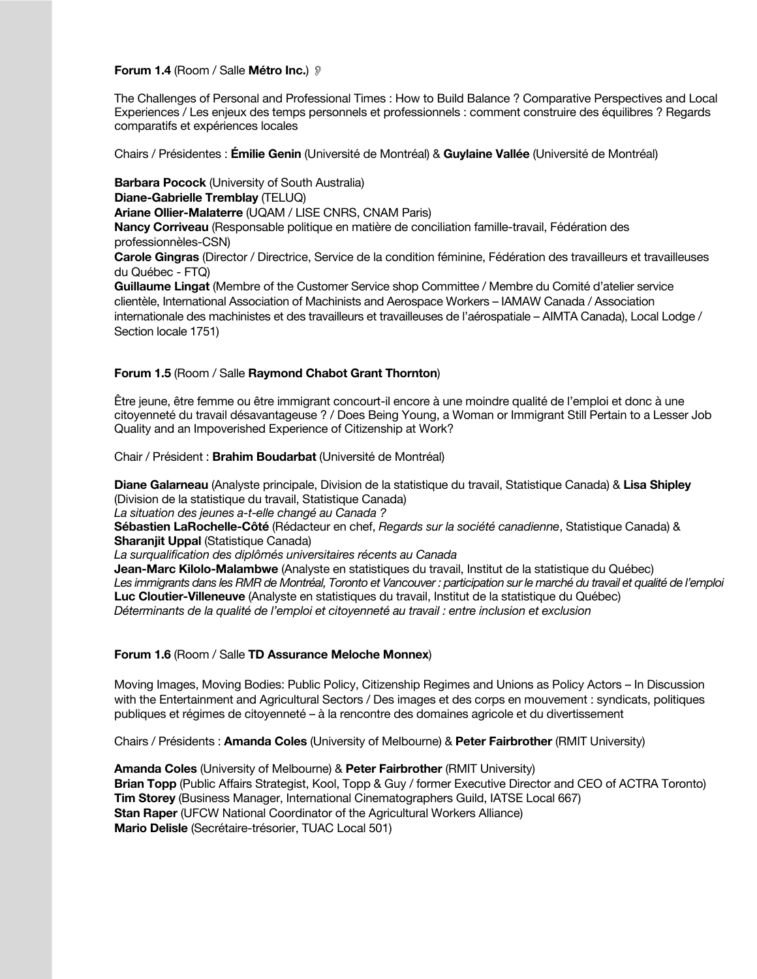#### **Forum 1.4** (Room / Salle **Métro Inc.**) !

The Challenges of Personal and Professional Times : How to Build Balance ? Comparative Perspectives and Local Experiences / Les enjeux des temps personnels et professionnels : comment construire des équilibres ? Regards comparatifs et expériences locales

Chairs / Présidentes : **Émilie Genin** (Université de Montréal) & **Guylaine Vallée** (Université de Montréal)

**Barbara Pocock** (University of South Australia) **Diane-Gabrielle Tremblay** (TELUQ) **Ariane Ollier-Malaterre** (UQAM / LISE CNRS, CNAM Paris) **Nancy Corriveau** (Responsable politique en matière de conciliation famille-travail, Fédération des professionnèles-CSN) **Carole Gingras** (Director / Directrice, Service de la condition féminine, Fédération des travailleurs et travailleuses du Québec - FTQ) **Guillaume Lingat** (Membre of the Customer Service shop Committee / Membre du Comité d'atelier service clientèle, International Association of Machinists and Aerospace Workers – IAMAW Canada / Association internationale des machinistes et des travailleurs et travailleuses de l'aérospatiale – AIMTA Canada), Local Lodge / Section locale 1751)

#### **Forum 1.5** (Room / Salle **Raymond Chabot Grant Thornton**)

Être jeune, être femme ou être immigrant concourt-il encore à une moindre qualité de l'emploi et donc à une citoyenneté du travail désavantageuse ? / Does Being Young, a Woman or Immigrant Still Pertain to a Lesser Job Quality and an Impoverished Experience of Citizenship at Work?

Chair / Président : **Brahim Boudarbat** (Université de Montréal)

**Diane Galarneau** (Analyste principale, Division de la statistique du travail, Statistique Canada) & **Lisa Shipley** (Division de la statistique du travail, Statistique Canada)

*La situation des jeunes a-t-elle changé au Canada ?*

**Sébastien LaRochelle-Côté** (Rédacteur en chef, *Regards sur la société canadienne*, Statistique Canada) & **Sharanjit Uppal** (Statistique Canada)

*La surqualification des diplômés universitaires récents au Canada*

**Jean-Marc Kilolo-Malambwe** (Analyste en statistiques du travail, Institut de la statistique du Québec) *Les immigrants dans les RMR de Montréal, Toronto et Vancouver : participation sur le marché du travail et qualité de l'emploi* **Luc Cloutier-Villeneuve** (Analyste en statistiques du travail, Institut de la statistique du Québec) *Déterminants de la qualité de l'emploi et citoyenneté au travail : entre inclusion et exclusion*

## **Forum 1.6** (Room / Salle **TD Assurance Meloche Monnex**)

Moving Images, Moving Bodies: Public Policy, Citizenship Regimes and Unions as Policy Actors – In Discussion with the Entertainment and Agricultural Sectors / Des images et des corps en mouvement : syndicats, politiques publiques et régimes de citoyenneté – à la rencontre des domaines agricole et du divertissement

Chairs / Présidents : **Amanda Coles** (University of Melbourne) & **Peter Fairbrother** (RMIT University)

**Amanda Coles** (University of Melbourne) & **Peter Fairbrother** (RMIT University) **Brian Topp** (Public Affairs Strategist, Kool, Topp & Guy / former Executive Director and CEO of ACTRA Toronto) **Tim Storey** (Business Manager, International Cinematographers Guild, IATSE Local 667) **Stan Raper** (UFCW National Coordinator of the Agricultural Workers Alliance) **Mario Delisle** (Secrétaire-trésorier, TUAC Local 501)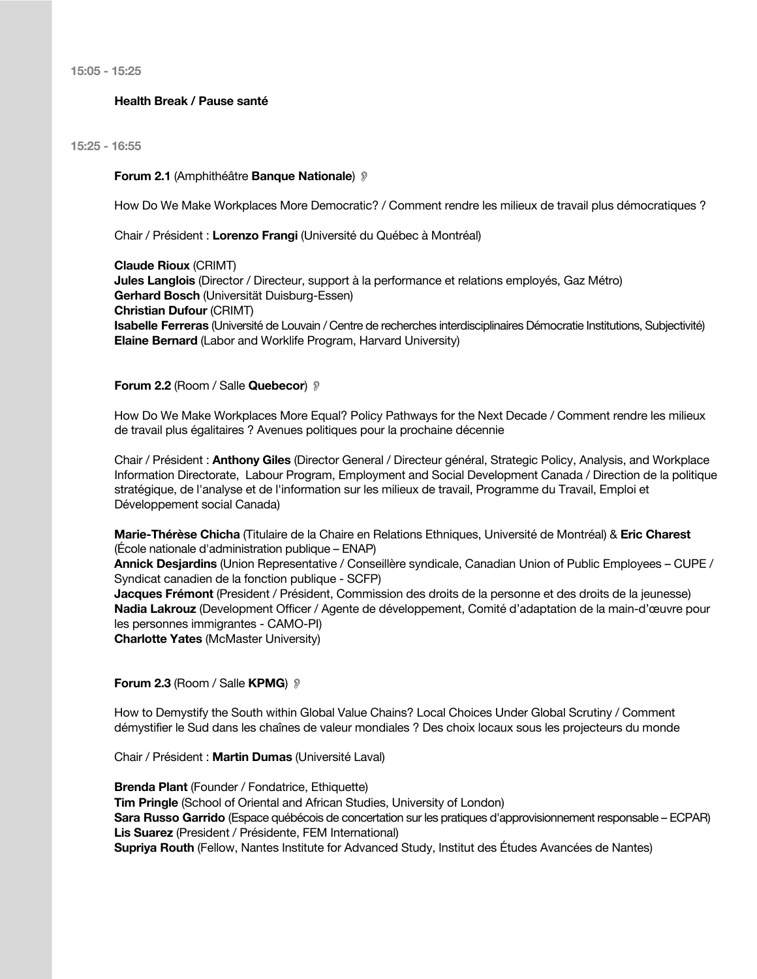**15:05 - 15:25**

#### **Health Break / Pause santé**

**15:25 - 16:55**

**Forum 2.1** (Amphithéâtre **Banque Nationale**) !

How Do We Make Workplaces More Democratic? / Comment rendre les milieux de travail plus démocratiques ?

Chair / Président : **Lorenzo Frangi** (Université du Québec à Montréal)

**Claude Rioux** (CRIMT) **Jules Langlois** (Director / Directeur, support à la performance et relations employés, Gaz Métro) **Gerhard Bosch** (Universität Duisburg-Essen) **Christian Dufour** (CRIMT) **Isabelle Ferreras** (Université de Louvain / Centre de recherches interdisciplinaires Démocratie Institutions, Subjectivité) **Elaine Bernard** (Labor and Worklife Program, Harvard University)

#### **Forum 2.2** (Room / Salle **Quebecor**)  $\mathcal{D}$

How Do We Make Workplaces More Equal? Policy Pathways for the Next Decade / Comment rendre les milieux de travail plus égalitaires ? Avenues politiques pour la prochaine décennie

Chair / Président : **Anthony Giles** (Director General / Directeur général, Strategic Policy, Analysis, and Workplace Information Directorate, Labour Program, Employment and Social Development Canada / Direction de la politique stratégique, de l'analyse et de l'information sur les milieux de travail, Programme du Travail, Emploi et Développement social Canada)

**Marie-Thérèse Chicha** (Titulaire de la Chaire en Relations Ethniques, Université de Montréal) & **Eric Charest** (École nationale d'administration publique – ENAP)

**Annick Desjardins** (Union Representative / Conseillère syndicale, Canadian Union of Public Employees – CUPE / Syndicat canadien de la fonction publique ‐ SCFP)

**Jacques Frémont** (President / Président, Commission des droits de la personne et des droits de la jeunesse) **Nadia Lakrouz** (Development Officer / Agente de développement, Comité d'adaptation de la main-d'œuvre pour les personnes immigrantes - CAMO-PI) **Charlotte Yates** (McMaster University)

## **Forum 2.3** (Room / Salle **KPMG**)  $\mathcal{D}$

How to Demystify the South within Global Value Chains? Local Choices Under Global Scrutiny / Comment démystifier le Sud dans les chaînes de valeur mondiales ? Des choix locaux sous les projecteurs du monde

Chair / Président : **Martin Dumas** (Université Laval)

**Brenda Plant** (Founder / Fondatrice, Ethiquette) **Tim Pringle** (School of Oriental and African Studies, University of London) **Sara Russo Garrido** (Espace québécois de concertation sur les pratiques d'approvisionnement responsable – ECPAR) **Lis Suarez** (President / Présidente, FEM International) **Supriya Routh** (Fellow, Nantes Institute for Advanced Study, Institut des Études Avancées de Nantes)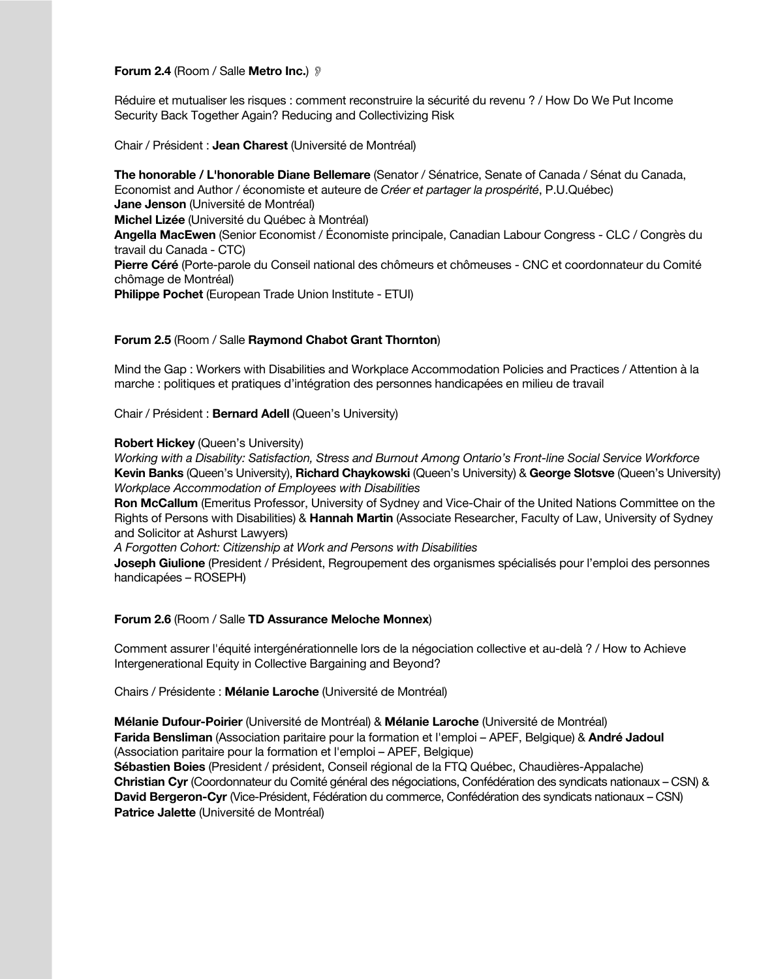#### **Forum 2.4** (Room / Salle **Metro Inc.**) !

Réduire et mutualiser les risques : comment reconstruire la sécurité du revenu ? / How Do We Put Income Security Back Together Again? Reducing and Collectivizing Risk

Chair / Président : **Jean Charest** (Université de Montréal)

**The honorable / L'honorable Diane Bellemare** (Senator / Sénatrice, Senate of Canada / Sénat du Canada, Economist and Author / économiste et auteure de *Créer et partager la prospérité*, P.U.Québec) **Jane Jenson** (Université de Montréal) **Michel Lizée** (Université du Québec à Montréal) **Angella MacEwen** (Senior Economist / Économiste principale, Canadian Labour Congress - CLC / Congrès du travail du Canada - CTC) **Pierre Céré** (Porte-parole du Conseil national des chômeurs et chômeuses - CNC et coordonnateur du Comité chômage de Montréal) **Philippe Pochet** (European Trade Union Institute - ETUI)

## **Forum 2.5** (Room / Salle **Raymond Chabot Grant Thornton**)

Mind the Gap : Workers with Disabilities and Workplace Accommodation Policies and Practices / Attention à la marche : politiques et pratiques d'intégration des personnes handicapées en milieu de travail

Chair / Président : **Bernard Adell** (Queen's University)

#### **Robert Hickey (Queen's University)**

*Working with a Disability: Satisfaction, Stress and Burnout Among Ontario's Front-line Social Service Workforce* **Kevin Banks** (Queen's University), **Richard Chaykowski** (Queen's University) & **George Slotsve** (Queen's University) *Workplace Accommodation of Employees with Disabilities*

**Ron McCallum** (Emeritus Professor, University of Sydney and Vice-Chair of the United Nations Committee on the Rights of Persons with Disabilities) & **Hannah Martin** (Associate Researcher, Faculty of Law, University of Sydney and Solicitor at Ashurst Lawyers)

*A Forgotten Cohort: Citizenship at Work and Persons with Disabilities*

**Joseph Giulione** (President / Président, Regroupement des organismes spécialisés pour l'emploi des personnes handicapées – ROSEPH)

#### **Forum 2.6** (Room / Salle **TD Assurance Meloche Monnex**)

Comment assurer l'équité intergénérationnelle lors de la négociation collective et au-delà ? / How to Achieve Intergenerational Equity in Collective Bargaining and Beyond?

Chairs / Présidente : **Mélanie Laroche** (Université de Montréal)

**Mélanie Dufour-Poirier** (Université de Montréal) & **Mélanie Laroche** (Université de Montréal) **Farida Bensliman** (Association paritaire pour la formation et l'emploi – APEF, Belgique) & **André Jadoul** (Association paritaire pour la formation et l'emploi – APEF, Belgique) **Sébastien Boies** (President / président, Conseil régional de la FTQ Québec, Chaudières-Appalache) **Christian Cyr** (Coordonnateur du Comité général des négociations, Confédération des syndicats nationaux – CSN) & **David Bergeron-Cyr** (Vice-Président, Fédération du commerce, Confédération des syndicats nationaux – CSN) **Patrice Jalette** (Université de Montréal)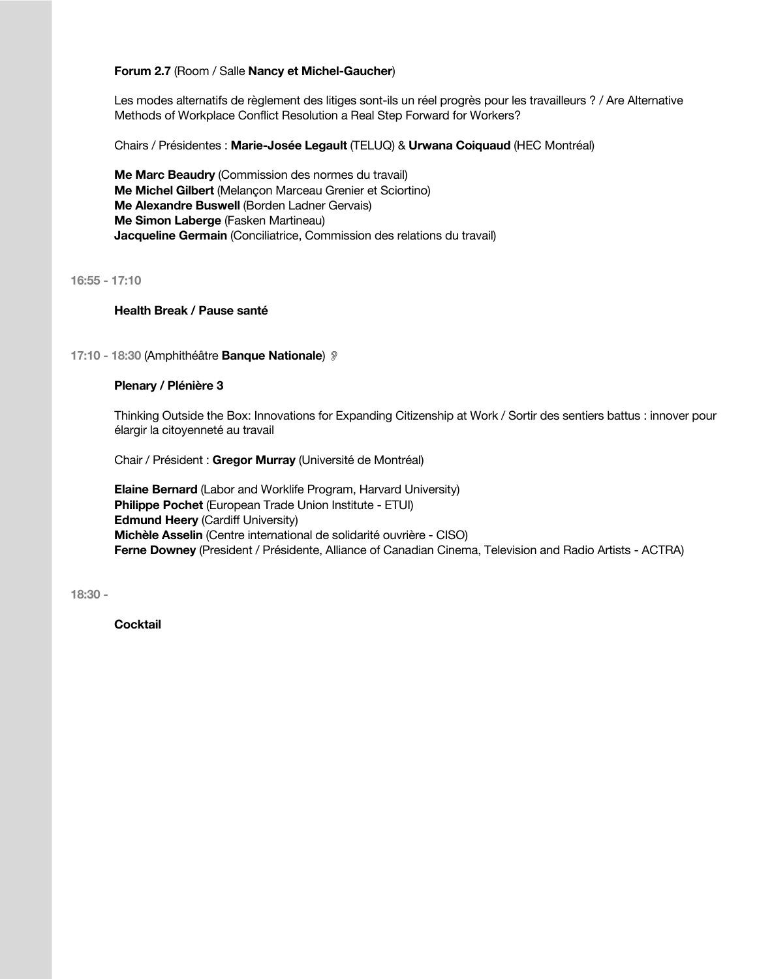## **Forum 2.7** (Room / Salle **Nancy et Michel-Gaucher**)

Les modes alternatifs de règlement des litiges sont-ils un réel progrès pour les travailleurs ? / Are Alternative Methods of Workplace Conflict Resolution a Real Step Forward for Workers?

Chairs / Présidentes : **Marie-Josée Legault** (TELUQ) & **Urwana Coiquaud** (HEC Montréal)

**Me Marc Beaudry** (Commission des normes du travail) **Me Michel Gilbert** (Melançon Marceau Grenier et Sciortino) **Me Alexandre Buswell** (Borden Ladner Gervais) **Me Simon Laberge** (Fasken Martineau) **Jacqueline Germain** (Conciliatrice, Commission des relations du travail)

**16:55 - 17:10**

## **Health Break / Pause santé**

## **17:10 - 18:30** (Amphithéâtre **Banque Nationale**) !

#### **Plenary / Plénière 3**

Thinking Outside the Box: Innovations for Expanding Citizenship at Work / Sortir des sentiers battus : innover pour élargir la citoyenneté au travail

Chair / Président : **Gregor Murray** (Université de Montréal)

**Elaine Bernard** (Labor and Worklife Program, Harvard University) **Philippe Pochet** (European Trade Union Institute - ETUI) **Edmund Heery** (Cardiff University) **Michèle Asselin** (Centre international de solidarité ouvrière - CISO) **Ferne Downey** (President / Présidente, Alliance of Canadian Cinema, Television and Radio Artists - ACTRA)

**18:30 -**

**Cocktail**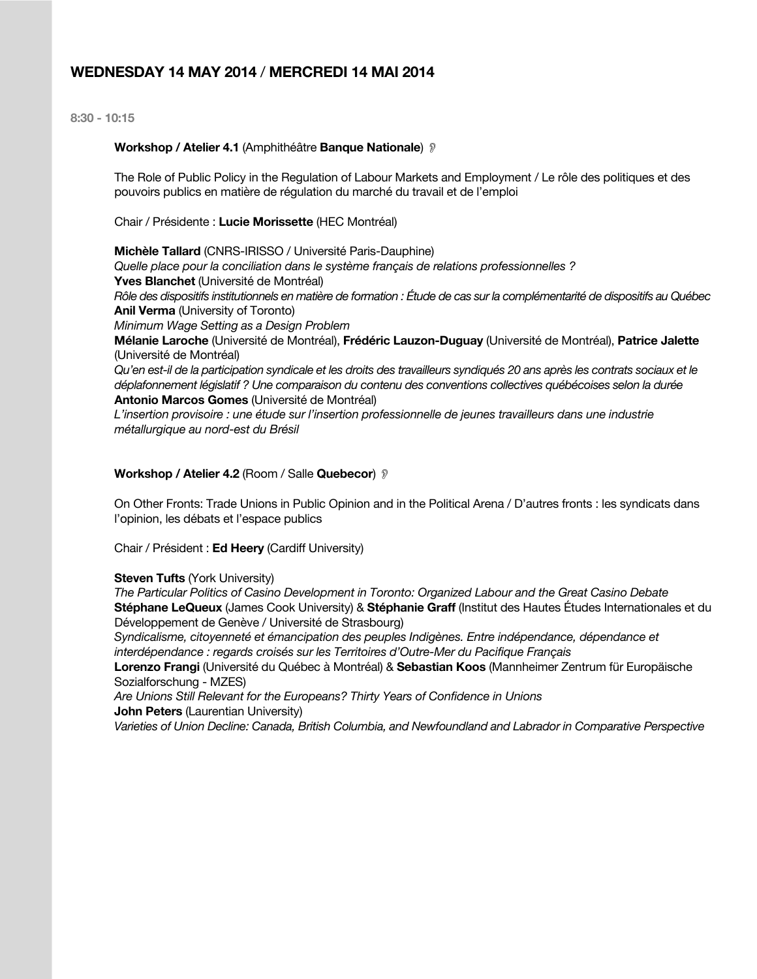## **WEDNESDAY 14 MAY 2014** / **MERCREDI 14 MAI 2014**

**8:30 - 10:15**

#### **Workshop / Atelier 4.1** (Amphithéâtre **Banque Nationale**) !

The Role of Public Policy in the Regulation of Labour Markets and Employment / Le rôle des politiques et des pouvoirs publics en matière de régulation du marché du travail et de l'emploi

Chair / Présidente : **Lucie Morissette** (HEC Montréal)

**Michèle Tallard** (CNRS-IRISSO / Université Paris-Dauphine) *Quelle place pour la conciliation dans le système français de relations professionnelles ?* **Yves Blanchet** (Université de Montréal) *Rôle des dispositifs institutionnels en matière de formation : Étude de cas sur la complémentarité de dispositifs au Québec* **Anil Verma** (University of Toronto) *Minimum Wage Setting as a Design Problem* **Mélanie Laroche** (Université de Montréal), **Frédéric Lauzon-Duguay** (Université de Montréal), **Patrice Jalette** (Université de Montréal) *Qu'en est-il de la participation syndicale et les droits des travailleurs syndiqués 20 ans après les contrats sociaux et le déplafonnement législatif ? Une comparaison du contenu des conventions collectives québécoises selon la durée* **Antonio Marcos Gomes** (Université de Montréal)

*L'insertion provisoire : une étude sur l'insertion professionnelle de jeunes travailleurs dans une industrie métallurgique au nord-est du Brésil*

#### **Workshop / Atelier 4.2** (Room / Salle **Quebecor**) !

On Other Fronts: Trade Unions in Public Opinion and in the Political Arena / D'autres fronts : les syndicats dans l'opinion, les débats et l'espace publics

Chair / Président : **Ed Heery** (Cardiff University)

#### **Steven Tufts** (York University)

*The Particular Politics of Casino Development in Toronto: Organized Labour and the Great Casino Debate* **Stéphane LeQueux** (James Cook University) & **Stéphanie Graff** (Institut des Hautes Études Internationales et du Développement de Genève / Université de Strasbourg)

*Syndicalisme, citoyenneté et émancipation des peuples Indigènes. Entre indépendance, dépendance et interdépendance : regards croisés sur les Territoires d'Outre-Mer du Pacifique Français*

**Lorenzo Frangi** (Université du Québec à Montréal) & **Sebastian Koos** (Mannheimer Zentrum für Europäische Sozialforschung - MZES)

*Are Unions Still Relevant for the Europeans? Thirty Years of Confidence in Unions* **John Peters** (Laurentian University)

*Varieties of Union Decline: Canada, British Columbia, and Newfoundland and Labrador in Comparative Perspective*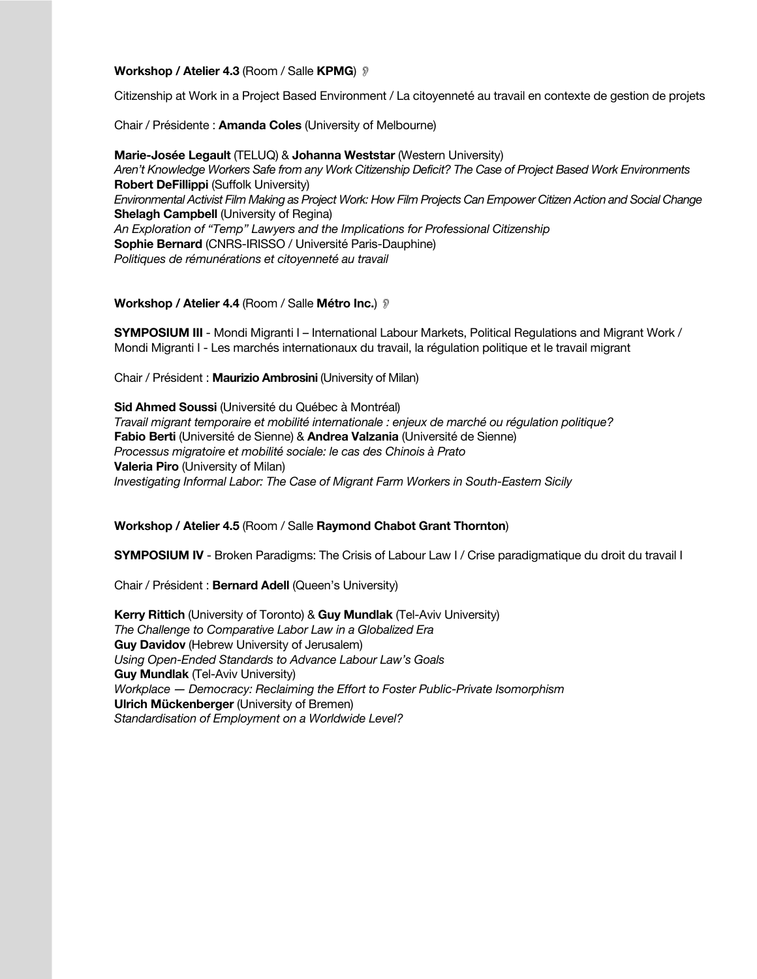#### **Workshop / Atelier 4.3 (Room / Salle KPMG) ?**

Citizenship at Work in a Project Based Environment / La citoyenneté au travail en contexte de gestion de projets

Chair / Présidente : **Amanda Coles** (University of Melbourne)

**Marie-Josée Legault** (TELUQ) & **Johanna Weststar** (Western University) *Aren't Knowledge Workers Safe from any Work Citizenship Deficit? The Case of Project Based Work Environments* **Robert DeFillippi** (Suffolk University) *Environmental Activist Film Making as Project Work: How Film Projects Can Empower Citizen Action and Social Change* **Shelagh Campbell** (University of Regina) *An Exploration of "Temp" Lawyers and the Implications for Professional Citizenship* **Sophie Bernard** (CNRS-IRISSO / Université Paris-Dauphine) *Politiques de rémunérations et citoyenneté au travail*

## **Workshop / Atelier 4.4** (Room / Salle **Métro Inc.**) !

**SYMPOSIUM III** - Mondi Migranti I – International Labour Markets, Political Regulations and Migrant Work / Mondi Migranti I - Les marchés internationaux du travail, la régulation politique et le travail migrant

Chair / Président : **Maurizio Ambrosini** (University of Milan)

**Sid Ahmed Soussi** (Université du Québec à Montréal) *Travail migrant temporaire et mobilité internationale : enjeux de marché ou régulation politique?* **Fabio Berti** (Université de Sienne) & **Andrea Valzania** (Université de Sienne) *Processus migratoire et mobilité sociale: le cas des Chinois à Prato* **Valeria Piro** (University of Milan) *Investigating Informal Labor: The Case of Migrant Farm Workers in South-Eastern Sicily*

## **Workshop / Atelier 4.5** (Room / Salle **Raymond Chabot Grant Thornton**)

**SYMPOSIUM IV** - Broken Paradigms: The Crisis of Labour Law I / Crise paradigmatique du droit du travail I

Chair / Président : **Bernard Adell** (Queen's University)

**Kerry Rittich** (University of Toronto) & **Guy Mundlak** (Tel-Aviv University) *The Challenge to Comparative Labor Law in a Globalized Era* **Guy Davidov** (Hebrew University of Jerusalem) *Using Open-Ended Standards to Advance Labour Law's Goals* **Guy Mundlak** (Tel-Aviv University) *Workplace ― Democracy: Reclaiming the Effort to Foster Public-Private Isomorphism* **Ulrich Mückenberger** (University of Bremen) *Standardisation of Employment on a Worldwide Level?*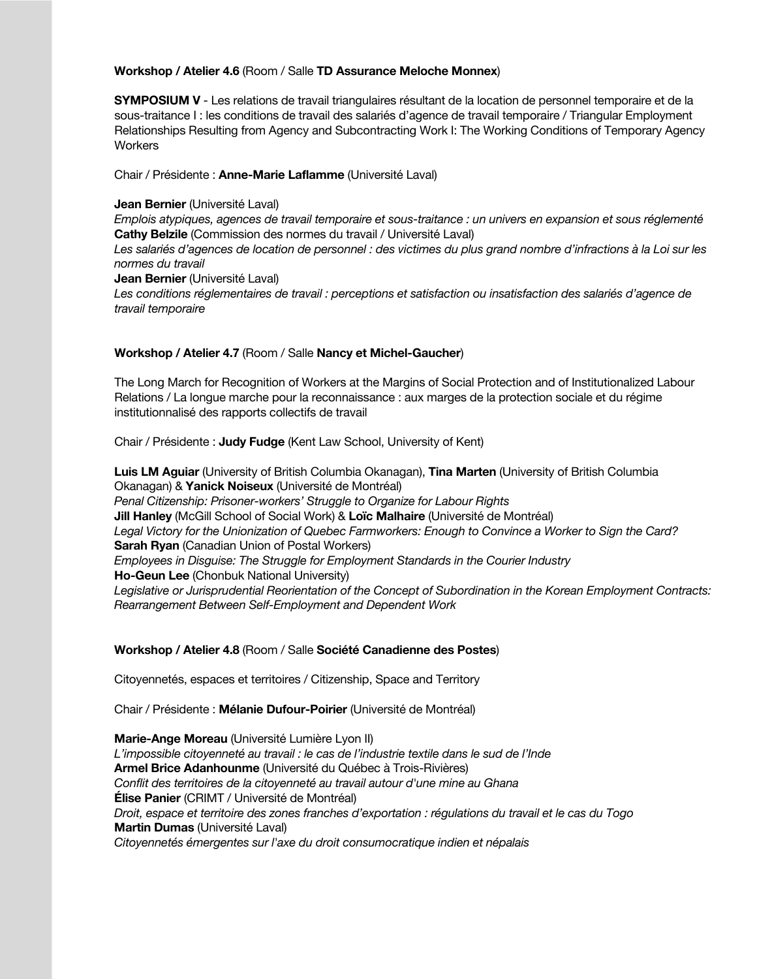## **Workshop / Atelier 4.6** (Room / Salle **TD Assurance Meloche Monnex**)

**SYMPOSIUM V** - Les relations de travail triangulaires résultant de la location de personnel temporaire et de la sous-traitance I : les conditions de travail des salariés d'agence de travail temporaire / Triangular Employment Relationships Resulting from Agency and Subcontracting Work I: The Working Conditions of Temporary Agency **Workers** 

Chair / Présidente : **Anne-Marie Laflamme** (Université Laval)

### **Jean Bernier** (Université Laval)

*Emplois atypiques, agences de travail temporaire et sous-traitance : un univers en expansion et sous réglementé* **Cathy Belzile** (Commission des normes du travail / Université Laval)

*Les salariés d'agences de location de personnel : des victimes du plus grand nombre d'infractions à la Loi sur les normes du travail*

**Jean Bernier** (Université Laval)

*Les conditions réglementaires de travail : perceptions et satisfaction ou insatisfaction des salariés d'agence de travail temporaire*

## **Workshop / Atelier 4.7** (Room / Salle **Nancy et Michel-Gaucher**)

The Long March for Recognition of Workers at the Margins of Social Protection and of Institutionalized Labour Relations / La longue marche pour la reconnaissance : aux marges de la protection sociale et du régime institutionnalisé des rapports collectifs de travail

Chair / Présidente : **Judy Fudge** (Kent Law School, University of Kent)

**Luis LM Aguiar** (University of British Columbia Okanagan), **Tina Marten** (University of British Columbia Okanagan) & **Yanick Noiseux** (Université de Montréal) *Penal Citizenship: Prisoner-workers' Struggle to Organize for Labour Rights* **Jill Hanley** (McGill School of Social Work) & **Loïc Malhaire** (Université de Montréal) *Legal Victory for the Unionization of Quebec Farmworkers: Enough to Convince a Worker to Sign the Card?* **Sarah Ryan** (Canadian Union of Postal Workers) *Employees in Disguise: The Struggle for Employment Standards in the Courier Industry* **Ho-Geun Lee** (Chonbuk National University) *Legislative or Jurisprudential Reorientation of the Concept of Subordination in the Korean Employment Contracts: Rearrangement Between Self-Employment and Dependent Work*

## **Workshop / Atelier 4.8** (Room / Salle **Société Canadienne des Postes**)

Citoyennetés, espaces et territoires / Citizenship, Space and Territory

Chair / Présidente : **Mélanie Dufour-Poirier** (Université de Montréal)

**Marie-Ange Moreau** (Université Lumière Lyon II) *L'impossible citoyenneté au travail : le cas de l'industrie textile dans le sud de l'Inde* **Armel Brice Adanhounme** (Université du Québec à Trois-Rivières) *Conflit des territoires de la citoyenneté au travail autour d'une mine au Ghana* **Élise Panier** (CRIMT / Université de Montréal) *Droit, espace et territoire des zones franches d'exportation : régulations du travail et le cas du Togo* **Martin Dumas** (Université Laval) *Citoyennetés émergentes sur l'axe du droit consumocratique indien et népalais*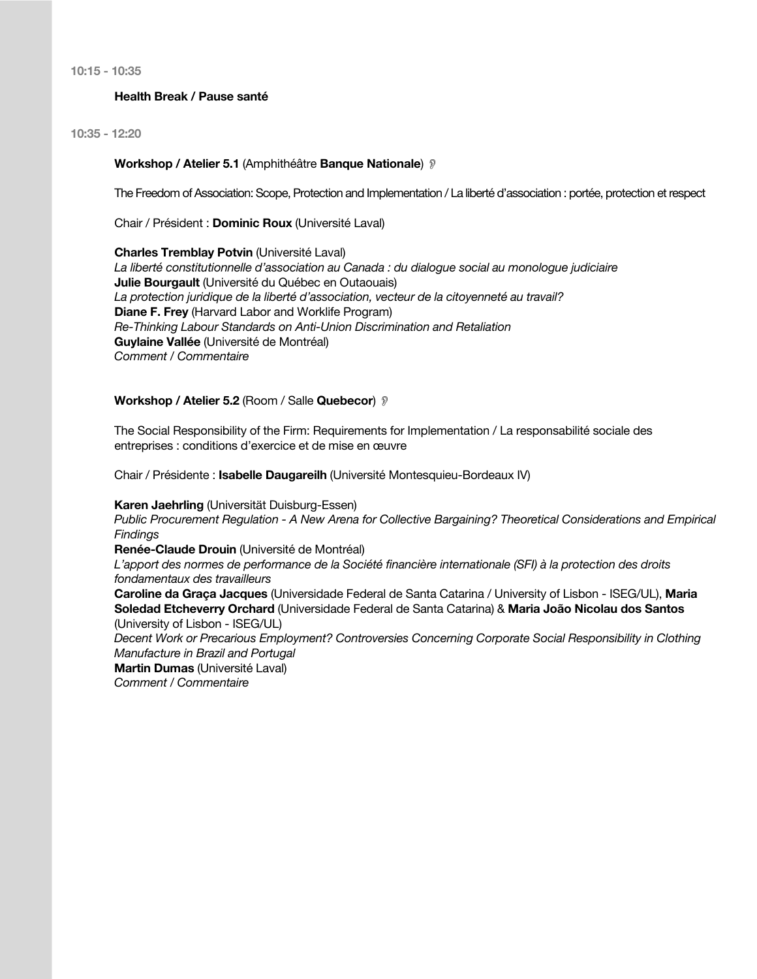**10:15 - 10:35**

## **Health Break / Pause santé**

**10:35 - 12:20**

#### **Workshop / Atelier 5.1** (Amphithéâtre **Banque Nationale**) !

The Freedom of Association: Scope, Protection and Implementation / La liberté d'association : portée, protection et respect

Chair / Président : **Dominic Roux** (Université Laval)

**Charles Tremblay Potvin** (Université Laval) *La liberté constitutionnelle d'association au Canada : du dialogue social au monologue judiciaire* **Julie Bourgault** (Université du Québec en Outaouais) *La protection juridique de la liberté d'association, vecteur de la citoyenneté au travail?* **Diane F. Frey** (Harvard Labor and Worklife Program) *Re-Thinking Labour Standards on Anti-Union Discrimination and Retaliation* **Guylaine Vallée** (Université de Montréal) *Comment / Commentaire*

#### **Workshop / Atelier 5.2** (Room / Salle **Quebecor**) !

The Social Responsibility of the Firm: Requirements for Implementation / La responsabilité sociale des entreprises : conditions d'exercice et de mise en œuvre

Chair / Présidente : **Isabelle Daugareilh** (Université Montesquieu-Bordeaux IV)

**Karen Jaehrling** (Universität Duisburg-Essen)

*Public Procurement Regulation - A New Arena for Collective Bargaining? Theoretical Considerations and Empirical Findings*

**Renée-Claude Drouin** (Université de Montréal)

*L'apport des normes de performance de la Société financière internationale (SFI) à la protection des droits fondamentaux des travailleurs*

**Caroline da Graça Jacques** (Universidade Federal de Santa Catarina / University of Lisbon - ISEG/UL), **Maria Soledad Etcheverry Orchard** (Universidade Federal de Santa Catarina) & **Maria João Nicolau dos Santos** (University of Lisbon - ISEG/UL)

*Decent Work or Precarious Employment? Controversies Concerning Corporate Social Responsibility in Clothing Manufacture in Brazil and Portugal*

**Martin Dumas** (Université Laval)

*Comment / Commentaire*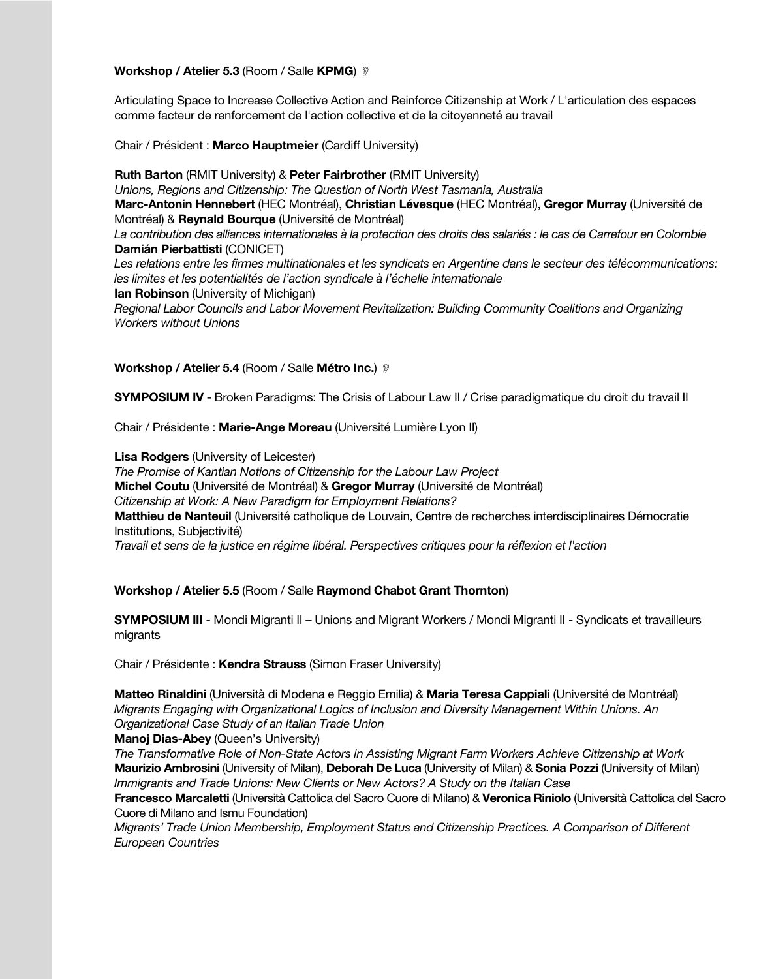## **Workshop / Atelier 5.3** (Room / Salle **KPMG**) !

Articulating Space to Increase Collective Action and Reinforce Citizenship at Work / L'articulation des espaces comme facteur de renforcement de l'action collective et de la citoyenneté au travail

Chair / Président : **Marco Hauptmeier** (Cardiff University)

**Ruth Barton** (RMIT University) & **Peter Fairbrother** (RMIT University) *Unions, Regions and Citizenship: The Question of North West Tasmania, Australia* **Marc-Antonin Hennebert** (HEC Montréal), **Christian Lévesque** (HEC Montréal), **Gregor Murray** (Université de Montréal) & **Reynald Bourque** (Université de Montréal) *La contribution des alliances internationales à la protection des droits des salariés : le cas de Carrefour en Colombie* **Damián Pierbattisti** (CONICET) *Les relations entre les firmes multinationales et les syndicats en Argentine dans le secteur des télécommunications: les limites et les potentialités de l'action syndicale à l'échelle internationale* **Ian Robinson** (University of Michigan) *Regional Labor Councils and Labor Movement Revitalization: Building Community Coalitions and Organizing Workers without Unions*

**Workshop / Atelier 5.4** (Room / Salle **Métro Inc.**) !

**SYMPOSIUM IV** - Broken Paradigms: The Crisis of Labour Law II / Crise paradigmatique du droit du travail II

Chair / Présidente : **Marie-Ange Moreau** (Université Lumière Lyon II)

**Lisa Rodgers** (University of Leicester)

*The Promise of Kantian Notions of Citizenship for the Labour Law Project* **Michel Coutu** (Université de Montréal) & **Gregor Murray** (Université de Montréal) *Citizenship at Work: A New Paradigm for Employment Relations?* **Matthieu de Nanteuil** (Université catholique de Louvain, Centre de recherches interdisciplinaires Démocratie Institutions, Subjectivité)

*Travail et sens de la justice en régime libéral. Perspectives critiques pour la réflexion et l'action*

## **Workshop / Atelier 5.5** (Room / Salle **Raymond Chabot Grant Thornton**)

**SYMPOSIUM III** - Mondi Migranti II – Unions and Migrant Workers / Mondi Migranti II - Syndicats et travailleurs migrants

Chair / Présidente : **Kendra Strauss** (Simon Fraser University)

**Matteo Rinaldini** (Università di Modena e Reggio Emilia) & **Maria Teresa Cappiali** (Université de Montréal) *Migrants Engaging with Organizational Logics of Inclusion and Diversity Management Within Unions. An Organizational Case Study of an Italian Trade Union*

**Manoj Dias-Abey** (Queen's University)

*The Transformative Role of Non-State Actors in Assisting Migrant Farm Workers Achieve Citizenship at Work* **Maurizio Ambrosini** (University of Milan), **Deborah De Luca** (University of Milan) & **Sonia Pozzi** (University of Milan) *Immigrants and Trade Unions: New Clients or New Actors? A Study on the Italian Case*

**Francesco Marcaletti** (Università Cattolica del Sacro Cuore di Milano) & **Veronica Riniolo** (Università Cattolica del Sacro Cuore di Milano and Ismu Foundation)

*Migrants' Trade Union Membership, Employment Status and Citizenship Practices. A Comparison of Different European Countries*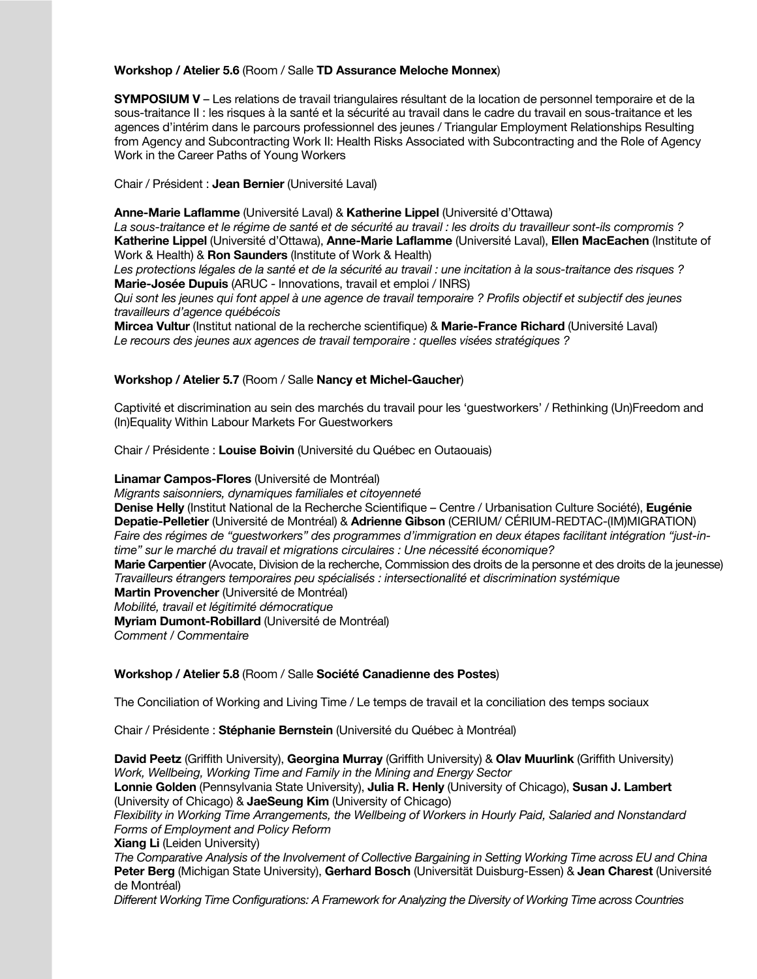## **Workshop / Atelier 5.6** (Room / Salle **TD Assurance Meloche Monnex**)

**SYMPOSIUM V** – Les relations de travail triangulaires résultant de la location de personnel temporaire et de la sous-traitance II : les risques à la santé et la sécurité au travail dans le cadre du travail en sous-traitance et les agences d'intérim dans le parcours professionnel des jeunes / Triangular Employment Relationships Resulting from Agency and Subcontracting Work II: Health Risks Associated with Subcontracting and the Role of Agency Work in the Career Paths of Young Workers

Chair / Président : **Jean Bernier** (Université Laval)

## **Anne-Marie Laflamme** (Université Laval) & **Katherine Lippel** (Université d'Ottawa)

*La sous-traitance et le régime de santé et de sécurité au travail : les droits du travailleur sont-ils compromis ?* **Katherine Lippel** (Université d'Ottawa), **Anne-Marie Laflamme** (Université Laval), **Ellen MacEachen** (Institute of Work & Health) & **Ron Saunders** (Institute of Work & Health)

*Les protections légales de la santé et de la sécurité au travail : une incitation à la sous-traitance des risques ?* **Marie-Josée Dupuis** (ARUC - Innovations, travail et emploi / INRS)

*Qui sont les jeunes qui font appel à une agence de travail temporaire ? Profils objectif et subjectif des jeunes travailleurs d'agence québécois*

**Mircea Vultur** (Institut national de la recherche scientifique) & **Marie-France Richard** (Université Laval) *Le recours des jeunes aux agences de travail temporaire : quelles visées stratégiques ?*

## **Workshop / Atelier 5.7** (Room / Salle **Nancy et Michel-Gaucher**)

Captivité et discrimination au sein des marchés du travail pour les 'guestworkers' / Rethinking (Un)Freedom and (In)Equality Within Labour Markets For Guestworkers

Chair / Présidente : **Louise Boivin** (Université du Québec en Outaouais)

## **Linamar Campos-Flores** (Université de Montréal)

*Migrants saisonniers, dynamiques familiales et citoyenneté*

**Denise Helly** (Institut National de la Recherche Scientifique – Centre / Urbanisation Culture Société), **Eugénie Depatie-Pelletier** (Université de Montréal) & **Adrienne Gibson** (CERIUM/ CÉRIUM-REDTAC-(IM)MIGRATION) *Faire des régimes de "guestworkers" des programmes d'immigration en deux étapes facilitant intégration "just-intime" sur le marché du travail et migrations circulaires : Une nécessité économique?* **Marie Carpentier** (Avocate, Division de la recherche, Commission des droits de la personne et des droits de la jeunesse) *Travailleurs étrangers temporaires peu spécialisés : intersectionalité et discrimination systémique*

**Martin Provencher** (Université de Montréal)

*Mobilité, travail et légitimité démocratique*

**Myriam Dumont-Robillard** (Université de Montréal)

*Comment / Commentaire*

## **Workshop / Atelier 5.8** (Room / Salle **Société Canadienne des Postes**)

The Conciliation of Working and Living Time / Le temps de travail et la conciliation des temps sociaux

Chair / Présidente : **Stéphanie Bernstein** (Université du Québec à Montréal)

**David Peetz** (Griffith University), **Georgina Murray** (Griffith University) & **Olav Muurlink** (Griffith University) *Work, Wellbeing, Working Time and Family in the Mining and Energy Sector*

**Lonnie Golden** (Pennsylvania State University), **Julia R. Henly** (University of Chicago), **Susan J. Lambert** (University of Chicago) & **JaeSeung Kim** (University of Chicago)

*Flexibility in Working Time Arrangements, the Wellbeing of Workers in Hourly Paid, Salaried and Nonstandard Forms of Employment and Policy Reform*

**Xiang Li** (Leiden University)

*The Comparative Analysis of the Involvement of Collective Bargaining in Setting Working Time across EU and China* **Peter Berg** (Michigan State University), **Gerhard Bosch** (Universität Duisburg-Essen) & **Jean Charest** (Université de Montréal)

*Different Working Time Configurations: A Framework for Analyzing the Diversity of Working Time across Countries*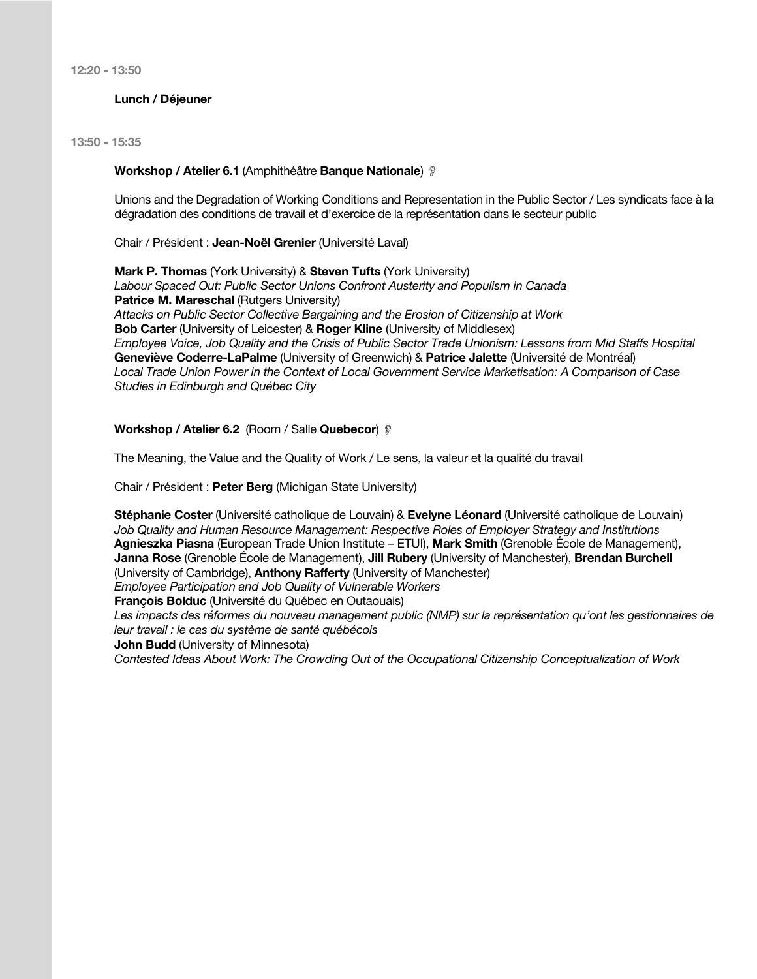**12:20 - 13:50**

## **Lunch / Déjeuner**

## **13:50 - 15:35**

#### **Workshop / Atelier 6.1** (Amphithéâtre **Banque Nationale**) !

Unions and the Degradation of Working Conditions and Representation in the Public Sector / Les syndicats face à la dégradation des conditions de travail et d'exercice de la représentation dans le secteur public

Chair / Président : **Jean-Noël Grenier** (Université Laval)

**Mark P. Thomas** (York University) & **Steven Tufts** (York University) *Labour Spaced Out: Public Sector Unions Confront Austerity and Populism in Canada* **Patrice M. Mareschal (Rutgers University)** *Attacks on Public Sector Collective Bargaining and the Erosion of Citizenship at Work* **Bob Carter** (University of Leicester) & **Roger Kline** (University of Middlesex) *Employee Voice, Job Quality and the Crisis of Public Sector Trade Unionism: Lessons from Mid Staffs Hospital* **Geneviève Coderre-LaPalme** (University of Greenwich) & **Patrice Jalette** (Université de Montréal) *Local Trade Union Power in the Context of Local Government Service Marketisation: A Comparison of Case Studies in Edinburgh and Québec City*

#### **Workshop / Atelier 6.2** (Room / Salle **Quebecor**) !

The Meaning, the Value and the Quality of Work / Le sens, la valeur et la qualité du travail

Chair / Président : **Peter Berg** (Michigan State University)

**Stéphanie Coster** (Université catholique de Louvain) & **Evelyne Léonard** (Université catholique de Louvain) *Job Quality and Human Resource Management: Respective Roles of Employer Strategy and Institutions* **Agnieszka Piasna** (European Trade Union Institute – ETUI), **Mark Smith** (Grenoble École de Management), **Janna Rose** (Grenoble École de Management), **Jill Rubery** (University of Manchester), **Brendan Burchell** (University of Cambridge), **Anthony Rafferty** (University of Manchester) *Employee Participation and Job Quality of Vulnerable Workers*

**François Bolduc** (Université du Québec en Outaouais)

Les impacts des réformes du nouveau management public (NMP) sur la représentation qu'ont les gestionnaires de *leur travail : le cas du système de santé québécois*

**John Budd** (University of Minnesota)

*Contested Ideas About Work: The Crowding Out of the Occupational Citizenship Conceptualization of Work*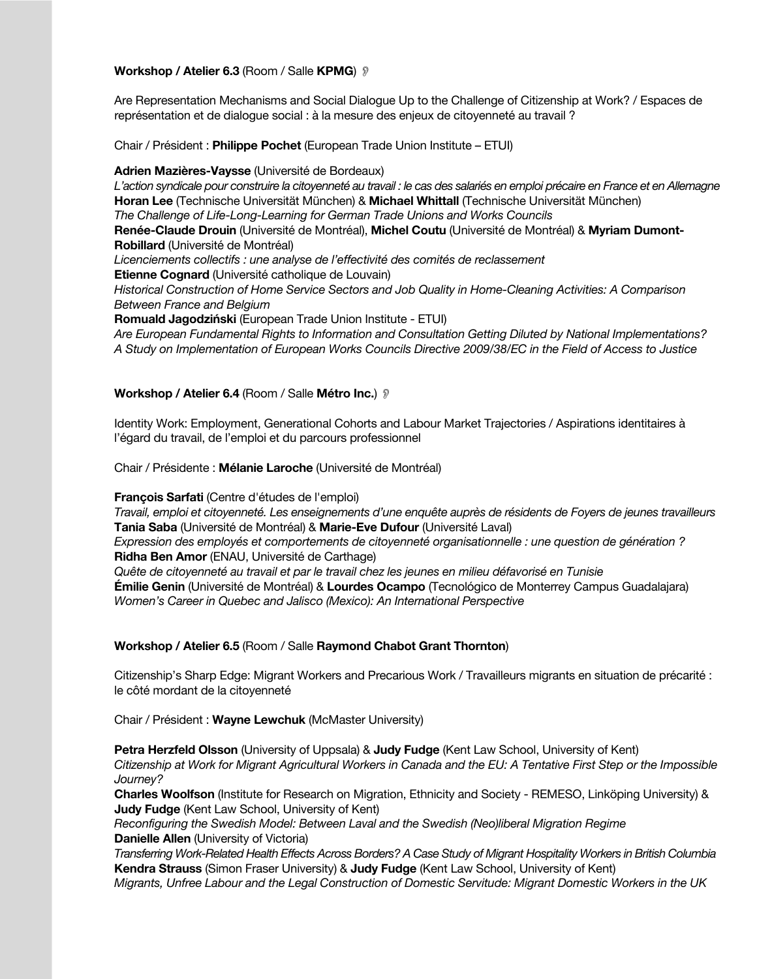## **Workshop / Atelier 6.3 (Room / Salle KPMG)** ?

Are Representation Mechanisms and Social Dialogue Up to the Challenge of Citizenship at Work? / Espaces de représentation et de dialogue social : à la mesure des enjeux de citoyenneté au travail ?

Chair / Président : **Philippe Pochet** (European Trade Union Institute – ETUI)

**Adrien Mazières-Vaysse** (Université de Bordeaux)

*L'action syndicale pour construire la citoyenneté au travail : le cas des salariés en emploi précaire en France et en Allemagne* **Horan Lee** (Technische Universität München) & **Michael Whittall** (Technische Universität München) *The Challenge of Life-Long-Learning for German Trade Unions and Works Councils* **Renée-Claude Drouin** (Université de Montréal), **Michel Coutu** (Université de Montréal) & **Myriam Dumont-Robillard** (Université de Montréal) *Licenciements collectifs : une analyse de l'effectivité des comités de reclassement*  **Etienne Cognard** (Université catholique de Louvain) *Historical Construction of Home Service Sectors and Job Quality in Home-Cleaning Activities: A Comparison Between France and Belgium* **Romuald Jagodziński** (European Trade Union Institute - ETUI) *Are European Fundamental Rights to Information and Consultation Getting Diluted by National Implementations? A Study on Implementation of European Works Councils Directive 2009/38/EC in the Field of Access to Justice*

#### **Workshop / Atelier 6.4** (Room / Salle **Métro Inc.**) !

Identity Work: Employment, Generational Cohorts and Labour Market Trajectories / Aspirations identitaires à l'égard du travail, de l'emploi et du parcours professionnel

Chair / Présidente : **Mélanie Laroche** (Université de Montréal)

**François Sarfati** (Centre d'études de l'emploi)

*Travail, emploi et citoyenneté. Les enseignements d'une enquête auprès de résidents de Foyers de jeunes travailleurs* **Tania Saba** (Université de Montréal) & **Marie-Eve Dufour** (Université Laval)

*Expression des employés et comportements de citoyenneté organisationnelle : une question de génération ?* **Ridha Ben Amor** (ENAU, Université de Carthage)

*Quête de citoyenneté au travail et par le travail chez les jeunes en milieu défavorisé en Tunisie* **Émilie Genin** (Université de Montréal) & **Lourdes Ocampo** (Tecnológico de Monterrey Campus Guadalajara) *Women's Career in Quebec and Jalisco (Mexico): An International Perspective*

#### **Workshop / Atelier 6.5** (Room / Salle **Raymond Chabot Grant Thornton**)

Citizenship's Sharp Edge: Migrant Workers and Precarious Work / Travailleurs migrants en situation de précarité : le côté mordant de la citoyenneté

Chair / Président : **Wayne Lewchuk** (McMaster University)

**Petra Herzfeld Olsson** (University of Uppsala) & **Judy Fudge** (Kent Law School, University of Kent) *Citizenship at Work for Migrant Agricultural Workers in Canada and the EU: A Tentative First Step or the Impossible Journey?*

**Charles Woolfson** (Institute for Research on Migration, Ethnicity and Society - REMESO, Linköping University) & **Judy Fudge** (Kent Law School, University of Kent)

*Reconfiguring the Swedish Model: Between Laval and the Swedish (Neo)liberal Migration Regime* **Danielle Allen** (University of Victoria)

*Transferring Work-Related Health Effects Across Borders? A Case Study of Migrant Hospitality Workers in British Columbia* **Kendra Strauss** (Simon Fraser University) & **Judy Fudge** (Kent Law School, University of Kent) *Migrants, Unfree Labour and the Legal Construction of Domestic Servitude: Migrant Domestic Workers in the UK*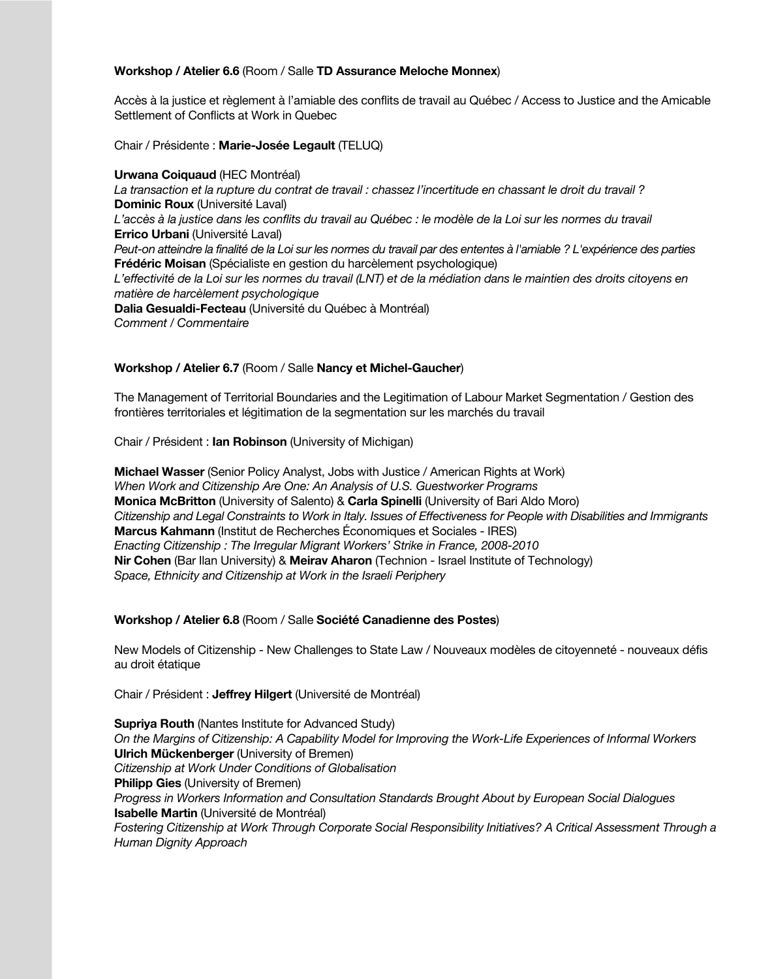## **Workshop / Atelier 6.6** (Room / Salle **TD Assurance Meloche Monnex**)

Accès à la justice et règlement à l'amiable des conflits de travail au Québec / Access to Justice and the Amicable Settlement of Conflicts at Work in Quebec

Chair / Présidente : **Marie-Josée Legault** (TELUQ)

#### **Urwana Coiquaud** (HEC Montréal)

*La transaction et la rupture du contrat de travail : chassez l'incertitude en chassant le droit du travail ?* **Dominic Roux** (Université Laval) *L'accès à la justice dans les conflits du travail au Québec : le modèle de la Loi sur les normes du travail* **Errico Urbani** (Université Laval) *Peut-on atteindre la finalité de la Loi sur les normes du travail par des ententes à l'amiable ? L'expérience des parties* **Frédéric Moisan** (Spécialiste en gestion du harcèlement psychologique) L'effectivité de la Loi sur les normes du travail (LNT) et de la médiation dans le maintien des droits citoyens en *matière de harcèlement psychologique* **Dalia Gesualdi-Fecteau** (Université du Québec à Montréal) *Comment / Commentaire*

## **Workshop / Atelier 6.7** (Room / Salle **Nancy et Michel-Gaucher**)

The Management of Territorial Boundaries and the Legitimation of Labour Market Segmentation / Gestion des frontières territoriales et légitimation de la segmentation sur les marchés du travail

Chair / Président : **Ian Robinson** (University of Michigan)

**Michael Wasser** (Senior Policy Analyst, Jobs with Justice / American Rights at Work) *When Work and Citizenship Are One: An Analysis of U.S. Guestworker Programs* **Monica McBritton** (University of Salento) & **Carla Spinelli** (University of Bari Aldo Moro) *Citizenship and Legal Constraints to Work in Italy. Issues of Effectiveness for People with Disabilities and Immigrants* **Marcus Kahmann** (Institut de Recherches Économiques et Sociales - IRES) *Enacting Citizenship : The Irregular Migrant Workers' Strike in France, 2008-2010* **Nir Cohen** (Bar Ilan University) & **Meirav Aharon** (Technion - Israel Institute of Technology) *Space, Ethnicity and Citizenship at Work in the Israeli Periphery*

## **Workshop / Atelier 6.8** (Room / Salle **Société Canadienne des Postes**)

New Models of Citizenship - New Challenges to State Law / Nouveaux modèles de citoyenneté - nouveaux défis au droit étatique

Chair / Président : **Jeffrey Hilgert** (Université de Montréal)

**Supriya Routh** (Nantes Institute for Advanced Study) *On the Margins of Citizenship: A Capability Model for Improving the Work-Life Experiences of Informal Workers* **Ulrich Mückenberger** (University of Bremen) *Citizenship at Work Under Conditions of Globalisation* **Philipp Gies** (University of Bremen) *Progress in Workers Information and Consultation Standards Brought About by European Social Dialogues* **Isabelle Martin** (Université de Montréal) *Fostering Citizenship at Work Through Corporate Social Responsibility Initiatives? A Critical Assessment Through a Human Dignity Approach*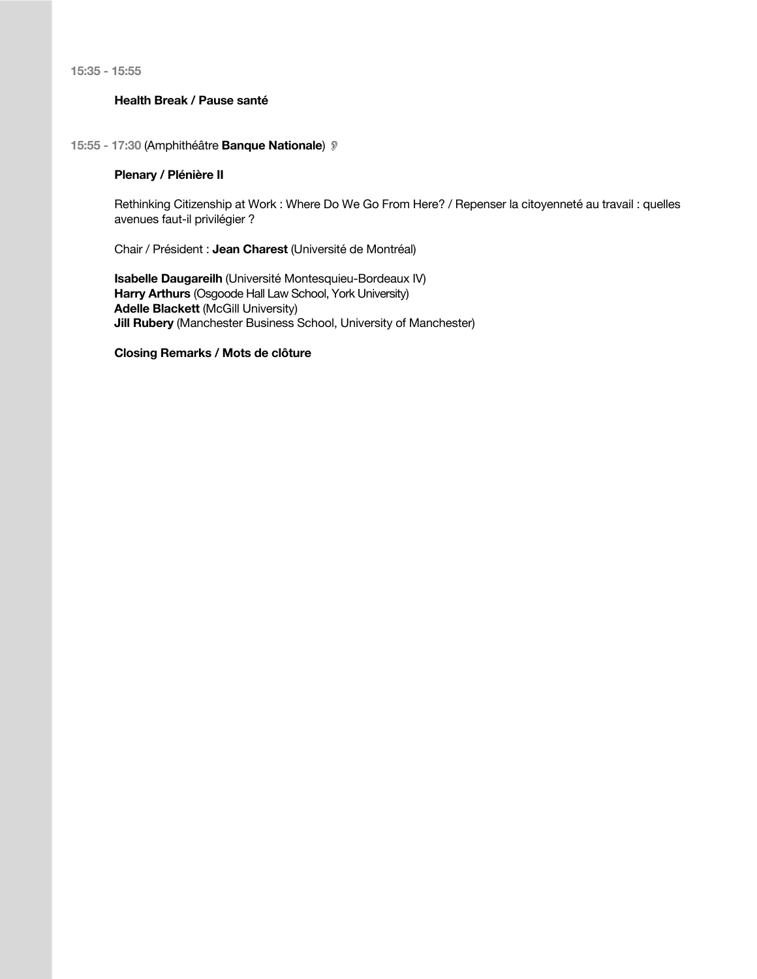**15:35 - 15:55**

## **Health Break / Pause santé**

## **15:55 - 17:30** (Amphithéâtre **Banque Nationale**) !

## **Plenary / Plénière II**

Rethinking Citizenship at Work : Where Do We Go From Here? / Repenser la citoyenneté au travail : quelles avenues faut-il privilégier ?

Chair / Président : **Jean Charest** (Université de Montréal)

**Isabelle Daugareilh** (Université Montesquieu-Bordeaux IV) **Harry Arthurs** (Osgoode Hall Law School, York University) **Adelle Blackett** (McGill University) **Jill Rubery** (Manchester Business School, University of Manchester)

**Closing Remarks / Mots de clôture**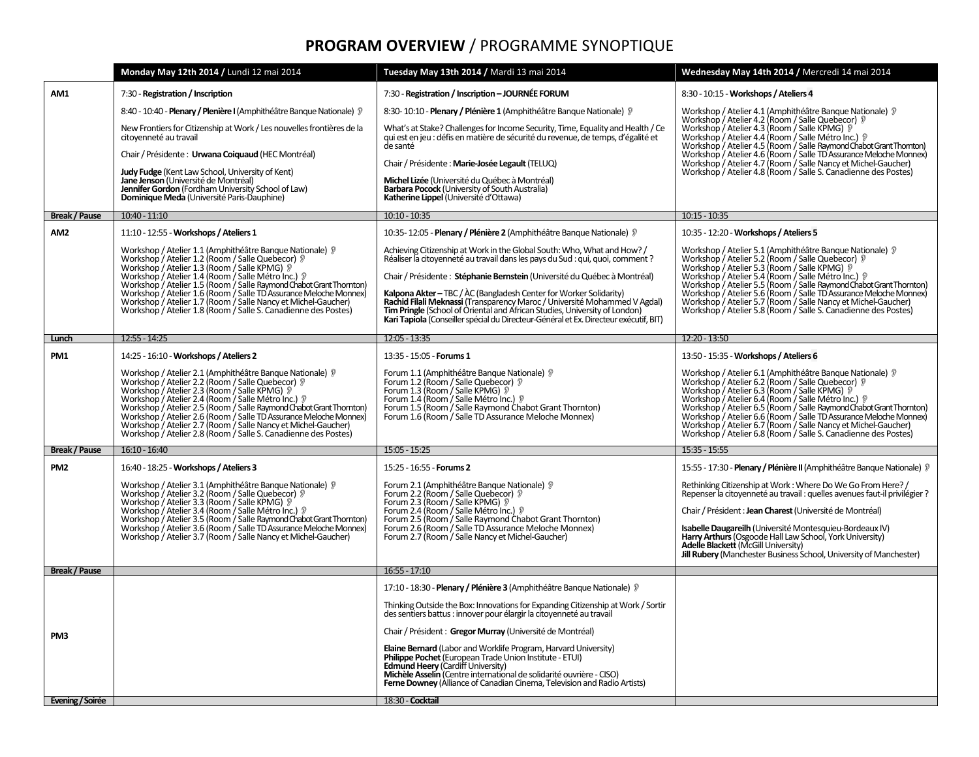# **PROGRAM OVERVIEW / PROGRAMME SYNOPTIQUE**

|                      | Monday May 12th 2014 / Lundi 12 mai 2014                                                                                                                                                                                                                                                                                                                                                                                                                                                       | Tuesday May 13th 2014 / Mardi 13 mai 2014                                                                                                                                                                                                                                                                                  | Wednesday May 14th 2014 / Mercredi 14 mai 2014                                                                                                                                                                                                                                                                                                                                                                                                                                                    |  |  |
|----------------------|------------------------------------------------------------------------------------------------------------------------------------------------------------------------------------------------------------------------------------------------------------------------------------------------------------------------------------------------------------------------------------------------------------------------------------------------------------------------------------------------|----------------------------------------------------------------------------------------------------------------------------------------------------------------------------------------------------------------------------------------------------------------------------------------------------------------------------|---------------------------------------------------------------------------------------------------------------------------------------------------------------------------------------------------------------------------------------------------------------------------------------------------------------------------------------------------------------------------------------------------------------------------------------------------------------------------------------------------|--|--|
| AM1                  | 7:30 - Registration / Inscription                                                                                                                                                                                                                                                                                                                                                                                                                                                              | 7:30 - Registration / Inscription - JOURNÉE FORUM                                                                                                                                                                                                                                                                          | 8:30 - 10:15 - Workshops / Ateliers 4                                                                                                                                                                                                                                                                                                                                                                                                                                                             |  |  |
|                      | 8:40 - 10:40 - Plenary / Plenière I (Amphithéâtre Banque Nationale) »                                                                                                                                                                                                                                                                                                                                                                                                                          | 8:30-10:10 - Plenary / Plénière 1 (Amphithéâtre Banque Nationale) ?                                                                                                                                                                                                                                                        | Workshop / Atelier 4.1 (Amphithéâtre Banque Nationale) »<br>Workshop / Atelier 4.2 (Room / Salle Quebecor) ?<br>Workshop / Atelier 4.3 (Room / Salle KPMG) ?<br>Workshop / Atelier 4.4 (Room / Salle Métro Inc.) 9<br>Workshop / Atelier 4.5 (Room / Salle Raymond Chabot Grant Thomton)<br>Workshop / Atelier 4.6 (Room / Salle TD Assurance Meloche Monnex)<br>Workshop / Atelier 4.7 (Room / Salle Nancy et Michel-Gaucher)<br>Workshop / Atelier 4.8 (Room / Salle S. Canadienne des Postes)  |  |  |
|                      | New Frontiers for Citizenship at Work / Les nouvelles frontières de la<br>citoyenneté au travail                                                                                                                                                                                                                                                                                                                                                                                               | What's at Stake? Challenges for Income Security, Time, Equality and Health / Ce<br>qui est en jeu : défis en matière de sécurité du revenue, de temps, d'égalité et<br>de santé                                                                                                                                            |                                                                                                                                                                                                                                                                                                                                                                                                                                                                                                   |  |  |
|                      | Chair / Présidente : Urwana Coiquaud (HEC Montréal)                                                                                                                                                                                                                                                                                                                                                                                                                                            |                                                                                                                                                                                                                                                                                                                            |                                                                                                                                                                                                                                                                                                                                                                                                                                                                                                   |  |  |
|                      | Judy Fudge (Kent Law School, University of Kent)<br>Jane Jenson (Université de Montréal)                                                                                                                                                                                                                                                                                                                                                                                                       | Chair / Présidente : Marie-Josée Legault (TELUQ)<br>Michel Lizée (Université du Québec à Montréal)                                                                                                                                                                                                                         |                                                                                                                                                                                                                                                                                                                                                                                                                                                                                                   |  |  |
|                      | Jennifer Gordon (Fordham University School of Law)<br>Dominique Meda (Université Paris-Dauphine)                                                                                                                                                                                                                                                                                                                                                                                               | Barbara Pocock (University of South Australia)<br>Katherine Lippel (Université d'Ottawa)                                                                                                                                                                                                                                   |                                                                                                                                                                                                                                                                                                                                                                                                                                                                                                   |  |  |
| <b>Break / Pause</b> | $10:40 - 11:10$                                                                                                                                                                                                                                                                                                                                                                                                                                                                                | $10:10 - 10:35$                                                                                                                                                                                                                                                                                                            | $10:15 - 10:35$                                                                                                                                                                                                                                                                                                                                                                                                                                                                                   |  |  |
| AM <sub>2</sub>      | 11:10 - 12:55 - Workshops / Ateliers 1                                                                                                                                                                                                                                                                                                                                                                                                                                                         | 10:35-12:05 - Plenary / Plénière 2 (Amphithéâtre Banque Nationale) »                                                                                                                                                                                                                                                       | 10:35 - 12:20 - Workshops / Ateliers 5                                                                                                                                                                                                                                                                                                                                                                                                                                                            |  |  |
|                      | Workshop / Atelier 1.1 (Amphithéâtre Banque Nationale) 》<br>Workshop / Atelier 1.2 (Room / Salle Quebecor) 》<br>Workshop / Atelier 1.3 (Room / Salle KPMG) 》<br>Workshop / Atelier 1.4 (Room / Salle Métro Inc.) 》<br>Workshop / Atelier 1                                                                                                                                                                                                                                                     | Achieving Citizenship at Work in the Global South: Who. What and How? /<br>Réaliser la citoyenneté au travail dans les pays du Sud : qui, quoi, comment ?                                                                                                                                                                  |                                                                                                                                                                                                                                                                                                                                                                                                                                                                                                   |  |  |
|                      |                                                                                                                                                                                                                                                                                                                                                                                                                                                                                                | Chair / Présidente : Stéphanie Bernstein (Université du Québec à Montréal)                                                                                                                                                                                                                                                 | Workshop / Atelier 5.1 (Amphithéâtre Banque Nationale) 》<br>Workshop / Atelier 5.2 (Room / Salle Quebecor) 》<br>Workshop / Atelier 5.3 (Room / Salle KPMG) 》<br>Workshop / Atelier 5.4 (Room / Salle Métro Inc.) 》<br>Workshop / Atelier 5                                                                                                                                                                                                                                                        |  |  |
|                      |                                                                                                                                                                                                                                                                                                                                                                                                                                                                                                | <b>Kalpona Akter</b> – TBC / AC (Bangladesh Center for Worker Solidarity)                                                                                                                                                                                                                                                  |                                                                                                                                                                                                                                                                                                                                                                                                                                                                                                   |  |  |
|                      | Workshop / Atelier 1.8 (Room / Salle S. Canadienne des Postes)                                                                                                                                                                                                                                                                                                                                                                                                                                 | Rachid Filali Meknassi (Transparency Maroc / Université Mohammed V Agdal)<br>Tim Pringle (School of Oriental and African Studies, University of London)                                                                                                                                                                    |                                                                                                                                                                                                                                                                                                                                                                                                                                                                                                   |  |  |
|                      |                                                                                                                                                                                                                                                                                                                                                                                                                                                                                                | Kari Tapiola (Conseiller spécial du Directeur-Général et Ex. Directeur exécutif, BIT)                                                                                                                                                                                                                                      |                                                                                                                                                                                                                                                                                                                                                                                                                                                                                                   |  |  |
| Lunch                | $12:55 - 14:25$                                                                                                                                                                                                                                                                                                                                                                                                                                                                                | $12:05 - 13:35$                                                                                                                                                                                                                                                                                                            | 12:20 - 13:50                                                                                                                                                                                                                                                                                                                                                                                                                                                                                     |  |  |
| PM1                  | 14:25 - 16:10 - Workshops / Ateliers 2                                                                                                                                                                                                                                                                                                                                                                                                                                                         | 13:35 - 15:05 - Forums 1                                                                                                                                                                                                                                                                                                   | 13:50 - 15:35 - Workshops / Ateliers 6                                                                                                                                                                                                                                                                                                                                                                                                                                                            |  |  |
|                      | Workshop / Atelier 2.1 (Amphithéâtre Banque Nationale) »<br>Workshop / Atelier 2.2 (Room / Salle Quebecor) »<br>Workshop / Atelier 2.3 (Room / Salle KPMG) »<br>Workshop / Atelier 2.4 (Room / Salle Métro Inc.)<br>Workshop / Atelier 2.5 (Room / Salle Raymond Chabot Grant Thomton)<br>Workshop / Atelier 2.6 (Room / Salle TD Assurance Meloche Monnex)<br>Workshop / Atelier 2.7 (Room / Salle Nancy et Michel-Gaucher)<br>Workshop / Atelier 2.8 (Room / Salle S. Canadienne des Postes) | Forum 1.1 (Amphithéâtre Banque Nationale) »<br>Forum 1.2 (Room / Salle Quebecor) ?<br>Forum 1.3 (Room / Salle KPMG) ?<br>Forum 1.4 (Room / Salle Métro Inc.) 9<br>Forum 1.5 (Room / Salle Raymond Chabot Grant Thornton)<br>Forum 1.6 (Room / Salle TD Assurance Meloche Monnex)                                           | Workshop / Atelier 6.1 (Amphithéâtre Banque Nationale) »<br>Workshop / Atelier 6.2 (Room / Salle Quebecor) »<br>Workshop / Atelier 6.3 (Room / Salle KPMG) ?<br>Workshop / Atelier 6.4 (Room / Salle Métro Inc.) 》<br>Workshop / Atelier 6.5 (Room / Salle Raymond Chabot Grant Thornton)<br>Workshop / Atelier 6.6 (Room / Salle TD Assurance Meloche Monnex)<br>Workshop / Atelier 6.7 (Room / Salle Nancy et Michel-Gaucher)<br>Workshop / Atelier 6.8 (Room / Salle S. Canadienne des Postes) |  |  |
| <b>Break / Pause</b> | $16:10 - 16:40$                                                                                                                                                                                                                                                                                                                                                                                                                                                                                | $15:05 - 15:25$                                                                                                                                                                                                                                                                                                            | $15:35 - 15:55$                                                                                                                                                                                                                                                                                                                                                                                                                                                                                   |  |  |
| PM <sub>2</sub>      | 16:40 - 18:25 - Workshops / Ateliers 3                                                                                                                                                                                                                                                                                                                                                                                                                                                         | 15:25 - 16:55 - Forums 2                                                                                                                                                                                                                                                                                                   | 15:55 - 17:30 - Plenary / Plénière II (Amphithéâtre Bangue Nationale) »                                                                                                                                                                                                                                                                                                                                                                                                                           |  |  |
|                      | Workshop / Atelier 3.1 (Amphithéâtre Banque Nationale) »<br>Workshop / Atelier 3.2 (Room / Salle Quebecor) ?                                                                                                                                                                                                                                                                                                                                                                                   | Forum 2.1 (Amphithéâtre Banque Nationale) »<br>Forum 2.2 (Room / Salle Quebecor) 9                                                                                                                                                                                                                                         | Rethinking Citizenship at Work: Where Do We Go From Here? /<br>Repenser la citoyenneté au travail : quelles avenues faut-il privilégier ?                                                                                                                                                                                                                                                                                                                                                         |  |  |
|                      | Workshop / Atelier 3.3 (Room / Salle KPMG) »<br>Workshop / Atelier 3.4 (Room / Salle Métro Inc.) ?                                                                                                                                                                                                                                                                                                                                                                                             | Forum 2.3 (Room / Salle KPMG) ?<br>Forum 2.4 (Room / Salle Métro Inc.) 9                                                                                                                                                                                                                                                   | Chair / Président : Jean Charest (Université de Montréal)                                                                                                                                                                                                                                                                                                                                                                                                                                         |  |  |
|                      | Workshop / Atelier 3.5 (Room / Salle Raymond Chabot Grant Thomton)<br>Workshop / Atelier 3.6 (Room / Salle TD Assurance Meloche Monnex)                                                                                                                                                                                                                                                                                                                                                        | Forum 2.5 (Room / Salle Raymond Chabot Grant Thornton)<br>Forum 2.6 (Room / Salle TD Assurance Meloche Monnex)                                                                                                                                                                                                             | Isabelle Daugareilh (Université Montesquieu-Bordeaux IV)                                                                                                                                                                                                                                                                                                                                                                                                                                          |  |  |
|                      | Workshop / Atelier 3.7 (Room / Salle Nancy et Michel-Gaucher)                                                                                                                                                                                                                                                                                                                                                                                                                                  | Forum 2.7 (Room / Salle Nancy et Michel-Gaucher)                                                                                                                                                                                                                                                                           | Harry Arthurs (Osgoode Hall Law School, York University)<br><b>Adelle Blackett (McGill University)</b>                                                                                                                                                                                                                                                                                                                                                                                            |  |  |
|                      |                                                                                                                                                                                                                                                                                                                                                                                                                                                                                                |                                                                                                                                                                                                                                                                                                                            | Jill Rubery (Manchester Business School, University of Manchester)                                                                                                                                                                                                                                                                                                                                                                                                                                |  |  |
| <b>Break / Pause</b> |                                                                                                                                                                                                                                                                                                                                                                                                                                                                                                | $16:55 - 17:10$                                                                                                                                                                                                                                                                                                            |                                                                                                                                                                                                                                                                                                                                                                                                                                                                                                   |  |  |
|                      |                                                                                                                                                                                                                                                                                                                                                                                                                                                                                                | 17:10 - 18:30 - Plenary / Plénière 3 (Amphithéâtre Bangue Nationale) »                                                                                                                                                                                                                                                     |                                                                                                                                                                                                                                                                                                                                                                                                                                                                                                   |  |  |
| PM3                  |                                                                                                                                                                                                                                                                                                                                                                                                                                                                                                | Thinking Outside the Box: Innovations for Expanding Citizenship at Work / Sortir<br>des sentiers battus : innover pour élargir la citoyenneté au travail                                                                                                                                                                   |                                                                                                                                                                                                                                                                                                                                                                                                                                                                                                   |  |  |
|                      |                                                                                                                                                                                                                                                                                                                                                                                                                                                                                                | Chair / Président : Gregor Murray (Université de Montréal)                                                                                                                                                                                                                                                                 |                                                                                                                                                                                                                                                                                                                                                                                                                                                                                                   |  |  |
|                      |                                                                                                                                                                                                                                                                                                                                                                                                                                                                                                | Elaine Bernard (Labor and Worklife Program, Harvard University)<br>Philippe Pochet (European Trade Union Institute - ETUI)<br><b>Edmund Heery (Cardiff University)</b><br>Michèle Asselin (Centre international de solidarité ouvrière - CISO)<br>Ferne Downey (Alliance of Canadian Cinema, Television and Radio Artists) |                                                                                                                                                                                                                                                                                                                                                                                                                                                                                                   |  |  |
| Evening / Soirée     |                                                                                                                                                                                                                                                                                                                                                                                                                                                                                                | 18:30 - Cocktail                                                                                                                                                                                                                                                                                                           |                                                                                                                                                                                                                                                                                                                                                                                                                                                                                                   |  |  |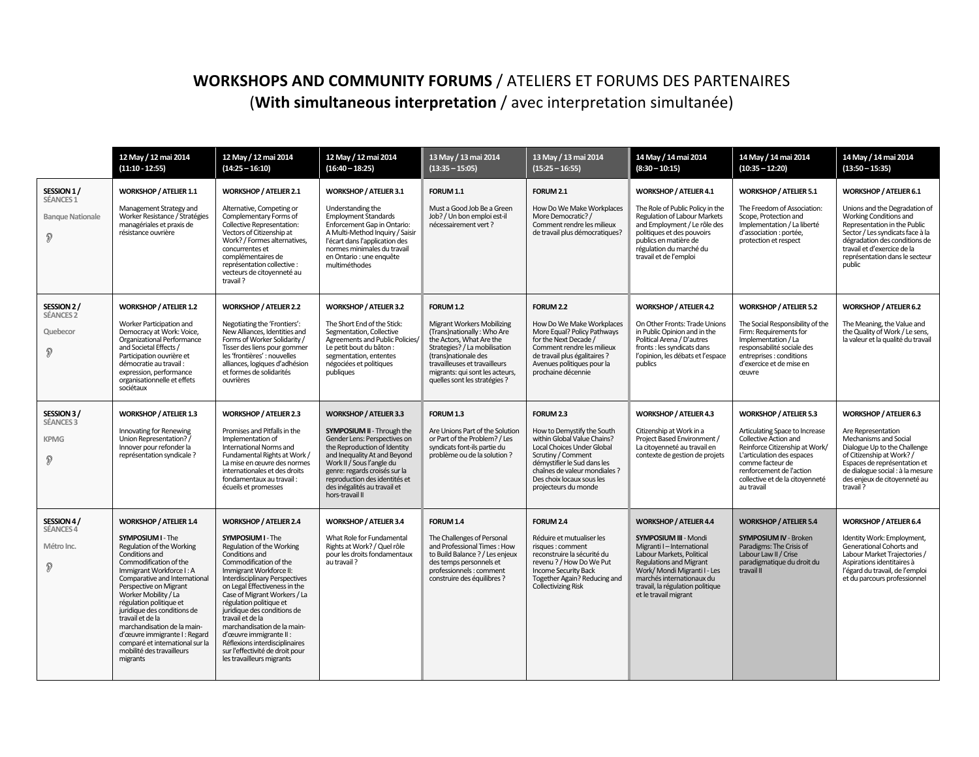## **WORKSHOPS AND COMMUNITY FORUMS / ATELIERS ET FORUMS DES PARTENAIRES** (With simultaneous interpretation / avec interpretation simultanée)

|                                                                    | 12 May / 12 mai 2014<br>$(11:10 - 12:55)$                                                                                                                                                                                                                                                                                                                                                                                                                            | 12 May / 12 mai 2014<br>$(14:25 - 16:10)$                                                                                                                                                                                                                                                                                                                                                                                                                                                                  | 12 May / 12 mai 2014<br>$(16:40 - 18:25)$                                                                                                                                                                                                                                                                     | 13 May / 13 mai 2014<br>$(13:35 - 15:05)$                                                                                                                                                                                                                       | 13 May / 13 mai 2014<br>$(15:25 - 16:55)$                                                                                                                                                                                                       | 14 May / 14 mai 2014<br>$(8:30 - 10:15)$                                                                                                                                                                                                                                           | 14 May / 14 mai 2014<br>$(10:35 - 12:20)$                                                                                                                                                                                                                 | 14 May / 14 mai 2014<br>$(13:50 - 15:35)$                                                                                                                                                                                                                                |
|--------------------------------------------------------------------|----------------------------------------------------------------------------------------------------------------------------------------------------------------------------------------------------------------------------------------------------------------------------------------------------------------------------------------------------------------------------------------------------------------------------------------------------------------------|------------------------------------------------------------------------------------------------------------------------------------------------------------------------------------------------------------------------------------------------------------------------------------------------------------------------------------------------------------------------------------------------------------------------------------------------------------------------------------------------------------|---------------------------------------------------------------------------------------------------------------------------------------------------------------------------------------------------------------------------------------------------------------------------------------------------------------|-----------------------------------------------------------------------------------------------------------------------------------------------------------------------------------------------------------------------------------------------------------------|-------------------------------------------------------------------------------------------------------------------------------------------------------------------------------------------------------------------------------------------------|------------------------------------------------------------------------------------------------------------------------------------------------------------------------------------------------------------------------------------------------------------------------------------|-----------------------------------------------------------------------------------------------------------------------------------------------------------------------------------------------------------------------------------------------------------|--------------------------------------------------------------------------------------------------------------------------------------------------------------------------------------------------------------------------------------------------------------------------|
| SESSION 1/<br>SÉANCES <sub>1</sub><br><b>Banque Nationale</b><br>Ð | <b>WORKSHOP / ATELIER 1.1</b><br>Management Strategy and<br>Worker Resistance / Stratégies<br>managériales et praxis de<br>résistance ouvrière                                                                                                                                                                                                                                                                                                                       | <b>WORKSHOP / ATELIER 2.1</b><br>Alternative, Competing or<br>Complementary Forms of<br><b>Collective Representation:</b><br>Vectors of Citizenship at<br>Work? / Formes alternatives,<br>concurrentes et<br>complémentaires de<br>représentation collective :<br>vecteurs de citoyenneté au<br>travail?                                                                                                                                                                                                   | <b>WORKSHOP / ATELIER 3.1</b><br>Understanding the<br><b>Employment Standards</b><br>Enforcement Gap in Ontario:<br>A Multi-Method Inquiry / Saisir<br>l'écart dans l'application des<br>normes minimales du travail<br>en Ontario : une enquête<br>multiméthodes                                             | FORUM 1.1<br>Must a Good Job Be a Green<br>Job? / Un bon emploi est-il<br>nécessairement vert?                                                                                                                                                                  | FORUM 2.1<br>How Do We Make Workplaces<br>More Democratic? /<br>Comment rendre les milieux<br>de travail plus démocratiques?                                                                                                                    | <b>WORKSHOP / ATELIER 4.1</b><br>The Role of Public Policy in the<br>Regulation of Labour Markets<br>and Employment / Le rôle des<br>politiques et des pouvoirs<br>publics en matière de<br>régulation du marché du<br>travail et de l'emploi                                      | <b>WORKSHOP / ATELIER 5.1</b><br>The Freedom of Association:<br>Scope, Protection and<br>Implementation / La liberté<br>d'association : portée,<br>protection et respect                                                                                  | <b>WORKSHOP / ATELIER 6.1</b><br>Unions and the Degradation of<br>Working Conditions and<br>Representation in the Public<br>Sector / Les syndicats face à la<br>dégradation des conditions de<br>travail et d'exercice de la<br>représentation dans le secteur<br>public |
| SESSION 2/<br><b>SÉANCES 2</b><br>Quebecor<br>P                    | <b>WORKSHOP / ATELIER 1.2</b><br>Worker Participation and<br>Democracy at Work: Voice,<br>Organizational Performance<br>and Societal Effects /<br>Participation ouvrière et<br>démocratie au travail :<br>expression, performance<br>organisationnelle et effets<br>sociétaux                                                                                                                                                                                        | <b>WORKSHOP / ATELIER 2.2</b><br>Negotiating the 'Frontiers':<br>New Alliances, Identities and<br>Forms of Worker Solidarity /<br>Tisser des liens pour gommer<br>les 'frontières' : nouvelles<br>alliances, logiques d'adhésion<br>et formes de solidarités<br>ouvrières                                                                                                                                                                                                                                  | <b>WORKSHOP / ATELIER 3.2</b><br>The Short End of the Stick:<br>Segmentation, Collective<br>Agreements and Public Policies/<br>Le petit bout du bâton :<br>segmentation, ententes<br>négociées et politiques<br>publiques                                                                                     | FORUM 1.2<br>Migrant Workers Mobilizing<br>(Trans)nationally: Who Are<br>the Actors, What Are the<br>Strategies? / La mobilisation<br>(trans)nationale des<br>travailleuses et travailleurs<br>migrants: qui sont les acteurs,<br>quelles sont les stratégies ? | FORUM 2.2<br>How Do We Make Workplaces<br>More Equal? Policy Pathways<br>for the Next Decade /<br>Comment rendre les milieux<br>de travail plus égalitaires ?<br>Avenues politiques pour la<br>prochaine décennie                               | <b>WORKSHOP / ATELIER 4.2</b><br>On Other Fronts: Trade Unions<br>in Public Opinion and in the<br>Political Arena / D'autres<br>fronts : les syndicats dans<br>l'opinion, les débats et l'espace<br>publics                                                                        | <b>WORKSHOP / ATELIER 5.2</b><br>The Social Responsibility of the<br>Firm: Requirements for<br>Implementation / La<br>responsabilité sociale des<br>entreprises : conditions<br>d'exercice et de mise en<br>œuvre                                         | <b>WORKSHOP / ATELIER 6.2</b><br>The Meaning, the Value and<br>the Quality of Work / Le sens,<br>la valeur et la qualité du travail                                                                                                                                      |
| SESSION 3/<br><b>SÉANCES 3</b><br><b>KPMG</b><br>P                 | <b>WORKSHOP / ATELIER 1.3</b><br>Innovating for Renewing<br>Union Representation? /<br>Innover pour refonder la<br>représentation syndicale ?                                                                                                                                                                                                                                                                                                                        | <b>WORKSHOP / ATELIER 2.3</b><br>Promises and Pitfalls in the<br>Implementation of<br>International Norms and<br>Fundamental Rights at Work /<br>La mise en œuvre des normes<br>internationales et des droits<br>fondamentaux au travail:<br>écueils et promesses                                                                                                                                                                                                                                          | <b>WORKSHOP / ATELIER 3.3</b><br>SYMPOSIUM II - Through the<br>Gender Lens: Perspectives on<br>the Reproduction of Identity<br>and Inequality At and Beyond<br>Work II / Sous l'angle du<br>genre: regards croisés sur la<br>reproduction des identités et<br>des inégalités au travail et<br>hors-travail II | FORUM 1.3<br>Are Unions Part of the Solution<br>or Part of the Problem? / Les<br>syndicats font-ils partie du<br>problème ou de la solution ?                                                                                                                   | FORUM 2.3<br>How to Demystify the South<br>within Global Value Chains?<br>Local Choices Under Global<br>Scrutiny / Comment<br>démystifier le Sud dans les<br>chaînes de valeur mondiales ?<br>Des choix locaux sous les<br>projecteurs du monde | <b>WORKSHOP / ATELIER 4.3</b><br>Citizenship at Work in a<br>Project Based Environment /<br>La citoyenneté au travail en<br>contexte de gestion de projets                                                                                                                         | <b>WORKSHOP / ATELIER 5.3</b><br>Articulating Space to Increase<br>Collective Action and<br>Reinforce Citizenship at Work/<br>L'articulation des espaces<br>comme facteur de<br>renforcement de l'action<br>collective et de la citoyenneté<br>au travail | <b>WORKSHOP / ATELIER 6.3</b><br>Are Representation<br>Mechanisms and Social<br>Dialogue Up to the Challenge<br>of Citizenship at Work? /<br>Espaces de représentation et<br>de dialogue social : à la mesure<br>des enjeux de citoyenneté au<br>travail?                |
| SESSION 4/<br><b>SÉANCES 4</b><br>Métro Inc.<br>P                  | <b>WORKSHOP / ATELIER 1.4</b><br>SYMPOSIUM I - The<br>Regulation of the Working<br>Conditions and<br>Commodification of the<br>Immigrant Workforce I: A<br>Comparative and International<br>Perspective on Migrant<br>Worker Mobility / La<br>régulation politique et<br>juridique des conditions de<br>travail et de la<br>marchandisation de la main-<br>d'œuvre immigrante I : Regard<br>comparé et international sur la<br>mobilité des travailleurs<br>migrants | <b>WORKSHOP / ATELIER 2.4</b><br>SYMPOSIUM I - The<br>Regulation of the Working<br>Conditions and<br>Commodification of the<br>Immigrant Workforce II:<br><b>Interdisciplinary Perspectives</b><br>on Legal Effectiveness in the<br>Case of Migrant Workers / La<br>régulation politique et<br>juridique des conditions de<br>travail et de la<br>marchandisation de la main-<br>d'œuvre immigrante II :<br>Réflexions interdisciplinaires<br>sur l'effectivité de droit pour<br>les travailleurs migrants | <b>WORKSHOP / ATELIER 3.4</b><br>What Role for Fundamental<br>Rights at Work? / Quel rôle<br>pour les droits fondamentaux<br>au travail?                                                                                                                                                                      | FORUM 1.4<br>The Challenges of Personal<br>and Professional Times: How<br>to Build Balance ? / Les enjeux<br>des temps personnels et<br>professionnels : comment<br>construire des équilibres ?                                                                 | FORUM 2.4<br>Réduire et mutualiser les<br>risques : comment<br>reconstruire la sécurité du<br>revenu? / How Do We Put<br><b>Income Security Back</b><br>Together Again? Reducing and<br><b>Collectivizing Risk</b>                              | <b>WORKSHOP / ATELIER 4.4</b><br><b>SYMPOSIUM III - Mondi</b><br>Migranti I-International<br>Labour Markets, Political<br><b>Regulations and Migrant</b><br>Work/ Mondi Migranti I - Les<br>marchés internationaux du<br>travail, la régulation politique<br>et le travail migrant | <b>WORKSHOP / ATELIER 5.4</b><br><b>SYMPOSIUM IV - Broken</b><br>Paradigms: The Crisis of<br>Labour Law II / Crise<br>paradigmatique du droit du<br>travail II                                                                                            | <b>WORKSHOP / ATELIER 6.4</b><br>Identity Work: Employment,<br>Generational Cohorts and<br>Labour Market Trajectories /<br>Aspirations identitaires à<br>l'égard du travail, de l'emploi<br>et du parcours professionnel                                                 |